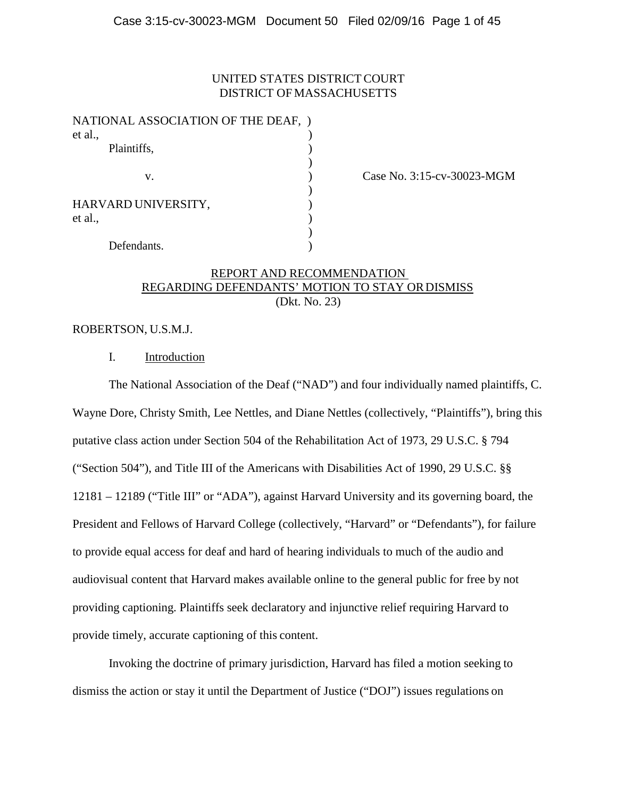# UNITED STATES DISTRICT COURT DISTRICT OF MASSACHUSETTS

| NATIONAL ASSOCIATION OF THE DEAF, ) |  |
|-------------------------------------|--|
| et al.,                             |  |
| Plaintiffs,                         |  |
|                                     |  |
| v.                                  |  |
|                                     |  |
| HARVARD UNIVERSITY,                 |  |
| et al.,                             |  |
|                                     |  |
| Defendants.                         |  |

Case No. 3:15-cv-30023-MGM

# REPORT AND RECOMMENDATION REGARDING DEFENDANTS' MOTION TO STAY OR DISMISS (Dkt. No. 23)

# ROBERTSON, U.S.M.J.

## I. Introduction

The National Association of the Deaf ("NAD") and four individually named plaintiffs, C. Wayne Dore, Christy Smith, Lee Nettles, and Diane Nettles (collectively, "Plaintiffs"), bring this putative class action under Section 504 of the Rehabilitation Act of 1973, 29 U.S.C. § 794 ("Section 504"), and Title III of the Americans with Disabilities Act of 1990, 29 U.S.C. §§ 12181 – 12189 ("Title III" or "ADA"), against Harvard University and its governing board, the President and Fellows of Harvard College (collectively, "Harvard" or "Defendants"), for failure to provide equal access for deaf and hard of hearing individuals to much of the audio and audiovisual content that Harvard makes available online to the general public for free by not providing captioning. Plaintiffs seek declaratory and injunctive relief requiring Harvard to provide timely, accurate captioning of this content.

Invoking the doctrine of primary jurisdiction, Harvard has filed a motion seeking to dismiss the action or stay it until the Department of Justice ("DOJ") issues regulations on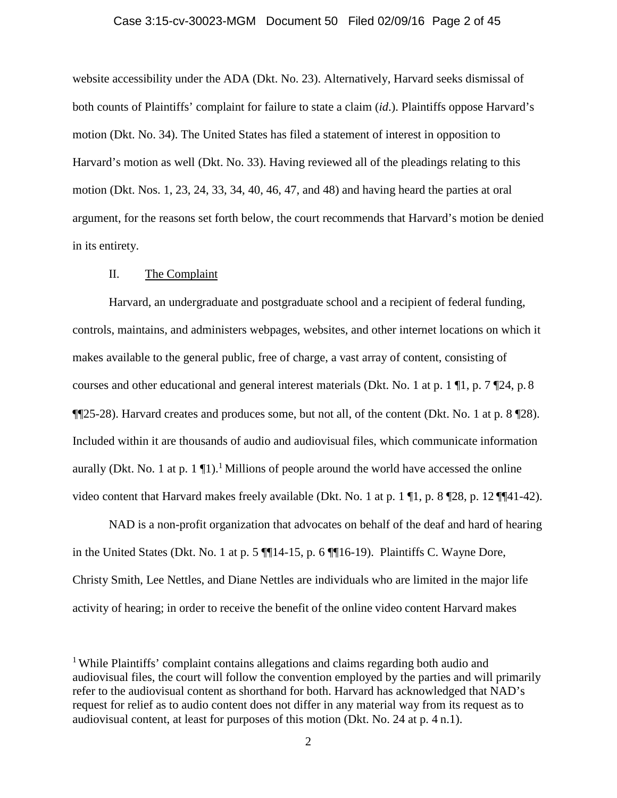#### Case 3:15-cv-30023-MGM Document 50 Filed 02/09/16 Page 2 of 45

website accessibility under the ADA (Dkt. No. 23). Alternatively, Harvard seeks dismissal of both counts of Plaintiffs' complaint for failure to state a claim (*id*.). Plaintiffs oppose Harvard's motion (Dkt. No. 34). The United States has filed a statement of interest in opposition to Harvard's motion as well (Dkt. No. 33). Having reviewed all of the pleadings relating to this motion (Dkt. Nos. 1, 23, 24, 33, 34, 40, 46, 47, and 48) and having heard the parties at oral argument, for the reasons set forth below, the court recommends that Harvard's motion be denied in its entirety.

## II. The Complaint

Harvard, an undergraduate and postgraduate school and a recipient of federal funding, controls, maintains, and administers webpages, websites, and other internet locations on which it makes available to the general public, free of charge, a vast array of content, consisting of courses and other educational and general interest materials (Dkt. No. 1 at p. 1 ¶1, p. 7 ¶24, p. 8 ¶¶25-28). Harvard creates and produces some, but not all, of the content (Dkt. No. 1 at p. 8 ¶28). Included within it are thousands of audio and audiovisual files, which communicate information aurally (Dkt. No. 1 at p. 1  $\P$ 1).<sup>1</sup> Millions of people around the world have accessed the online video content that Harvard makes freely available (Dkt. No. 1 at p. 1 ¶1, p. 8 ¶28, p. 12 ¶¶41-42).

NAD is a non-profit organization that advocates on behalf of the deaf and hard of hearing in the United States (Dkt. No. 1 at p. 5 ¶¶14-15, p. 6 ¶¶16-19). Plaintiffs C. Wayne Dore, Christy Smith, Lee Nettles, and Diane Nettles are individuals who are limited in the major life activity of hearing; in order to receive the benefit of the online video content Harvard makes

<sup>&</sup>lt;sup>1</sup> While Plaintiffs' complaint contains allegations and claims regarding both audio and audiovisual files, the court will follow the convention employed by the parties and will primarily refer to the audiovisual content as shorthand for both. Harvard has acknowledged that NAD's request for relief as to audio content does not differ in any material way from its request as to audiovisual content, at least for purposes of this motion (Dkt. No. 24 at p. 4 n.1).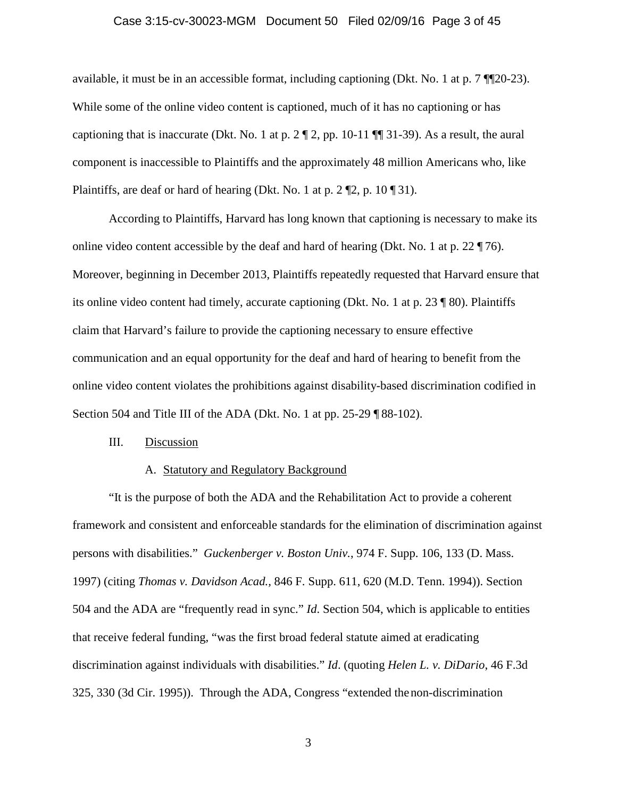#### Case 3:15-cv-30023-MGM Document 50 Filed 02/09/16 Page 3 of 45

available, it must be in an accessible format, including captioning (Dkt. No. 1 at p. 7 ¶¶20-23). While some of the online video content is captioned, much of it has no captioning or has captioning that is inaccurate (Dkt. No. 1 at p.  $2 \mathbb{Z} \times 2$ , pp. 10-11  $\mathbb{Z} \times 39$ ). As a result, the aural component is inaccessible to Plaintiffs and the approximately 48 million Americans who, like Plaintiffs, are deaf or hard of hearing (Dkt. No. 1 at p. 2 ¶2, p. 10 ¶ 31).

According to Plaintiffs, Harvard has long known that captioning is necessary to make its online video content accessible by the deaf and hard of hearing (Dkt. No. 1 at p. 22  $\P$  76). Moreover, beginning in December 2013, Plaintiffs repeatedly requested that Harvard ensure that its online video content had timely, accurate captioning (Dkt. No. 1 at p. 23 ¶ 80). Plaintiffs claim that Harvard's failure to provide the captioning necessary to ensure effective communication and an equal opportunity for the deaf and hard of hearing to benefit from the online video content violates the prohibitions against disability-based discrimination codified in Section 504 and Title III of the ADA (Dkt. No. 1 at pp. 25-29 ¶ 88-102).

## III. Discussion

## A. Statutory and Regulatory Background

"It is the purpose of both the ADA and the Rehabilitation Act to provide a coherent framework and consistent and enforceable standards for the elimination of discrimination against persons with disabilities." *Guckenberger v. Boston Univ.*, 974 F. Supp. 106, 133 (D. Mass. 1997) (citing *Thomas v. Davidson Acad.,* 846 F. Supp. 611, 620 (M.D. Tenn. 1994)). Section 504 and the ADA are "frequently read in sync." *Id*. Section 504, which is applicable to entities that receive federal funding, "was the first broad federal statute aimed at eradicating discrimination against individuals with disabilities." *Id*. (quoting *Helen L. v. DiDario*, 46 F.3d 325, 330 (3d Cir. 1995)). Through the ADA, Congress "extended thenon-discrimination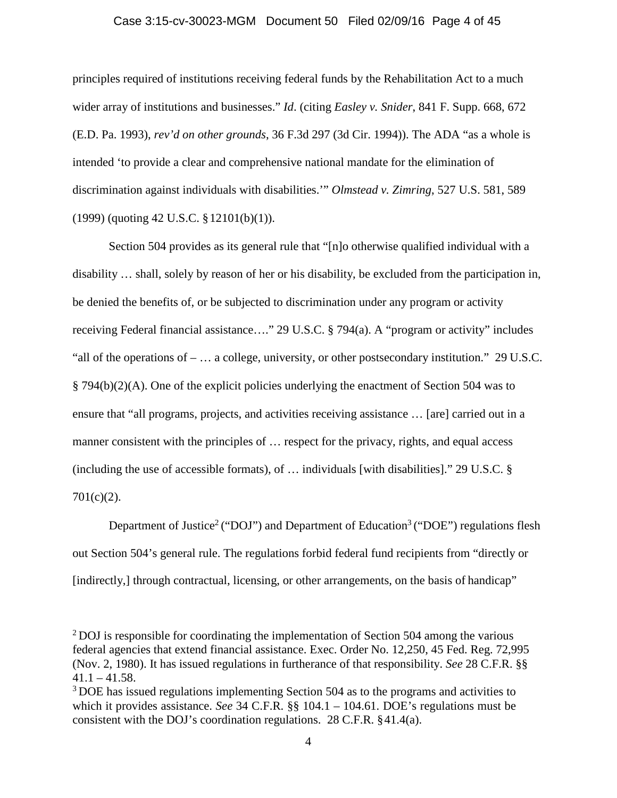### Case 3:15-cv-30023-MGM Document 50 Filed 02/09/16 Page 4 of 45

principles required of institutions receiving federal funds by the Rehabilitation Act to a much wider array of institutions and businesses." *Id*. (citing *Easley v. Snider*, 841 F. Supp. 668, 672 (E.D. Pa. 1993), *rev'd on other grounds*, 36 F.3d 297 (3d Cir. 1994)). The ADA "as a whole is intended 'to provide a clear and comprehensive national mandate for the elimination of discrimination against individuals with disabilities.'" *Olmstead v. Zimring*, 527 U.S. 581, 589 (1999) (quoting 42 U.S.C. §12101(b)(1)).

Section 504 provides as its general rule that "[n]o otherwise qualified individual with a disability … shall, solely by reason of her or his disability, be excluded from the participation in, be denied the benefits of, or be subjected to discrimination under any program or activity receiving Federal financial assistance…." 29 U.S.C. § 794(a). A "program or activity" includes "all of the operations of  $- \dots$  a college, university, or other postsecondary institution." 29 U.S.C. § 794(b)(2)(A). One of the explicit policies underlying the enactment of Section 504 was to ensure that "all programs, projects, and activities receiving assistance … [are] carried out in a manner consistent with the principles of ... respect for the privacy, rights, and equal access (including the use of accessible formats), of … individuals [with disabilities]." 29 U.S.C. § 701(c)(2).

Department of Justice<sup>2</sup> ("DOJ") and Department of Education<sup>3</sup> ("DOE") regulations flesh out Section 504's general rule. The regulations forbid federal fund recipients from "directly or [indirectly,] through contractual, licensing, or other arrangements, on the basis of handicap"

<sup>&</sup>lt;sup>2</sup> DOJ is responsible for coordinating the implementation of Section 504 among the various federal agencies that extend financial assistance. Exec. Order No. 12,250, 45 Fed. Reg. 72,995 (Nov. 2, 1980). It has issued regulations in furtherance of that responsibility. *See* 28 C.F.R. §§  $41.1 - 41.58$ .

<sup>&</sup>lt;sup>3</sup> DOE has issued regulations implementing Section 504 as to the programs and activities to which it provides assistance. *See* 34 C.F.R. §§ 104.1 – 104.61. DOE's regulations must be consistent with the DOJ's coordination regulations. 28 C.F.R. §41.4(a).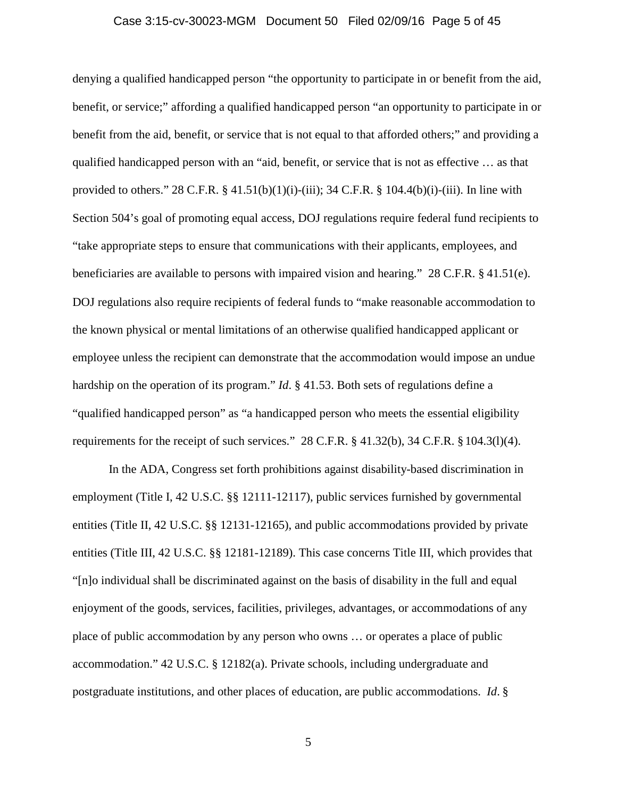#### Case 3:15-cv-30023-MGM Document 50 Filed 02/09/16 Page 5 of 45

denying a qualified handicapped person "the opportunity to participate in or benefit from the aid, benefit, or service;" affording a qualified handicapped person "an opportunity to participate in or benefit from the aid, benefit, or service that is not equal to that afforded others;" and providing a qualified handicapped person with an "aid, benefit, or service that is not as effective … as that provided to others." 28 C.F.R. § 41.51(b)(1)(i)-(iii); 34 C.F.R. § 104.4(b)(i)-(iii). In line with Section 504's goal of promoting equal access, DOJ regulations require federal fund recipients to "take appropriate steps to ensure that communications with their applicants, employees, and beneficiaries are available to persons with impaired vision and hearing." 28 C.F.R. § 41.51(e). DOJ regulations also require recipients of federal funds to "make reasonable accommodation to the known physical or mental limitations of an otherwise qualified handicapped applicant or employee unless the recipient can demonstrate that the accommodation would impose an undue hardship on the operation of its program." *Id*. § 41.53. Both sets of regulations define a "qualified handicapped person" as "a handicapped person who meets the essential eligibility requirements for the receipt of such services." 28 C.F.R. § 41.32(b), 34 C.F.R. § 104.3(l)(4).

In the ADA, Congress set forth prohibitions against disability-based discrimination in employment (Title I, 42 U.S.C. §§ 12111-12117), public services furnished by governmental entities (Title II, 42 U.S.C. §§ 12131-12165), and public accommodations provided by private entities (Title III, 42 U.S.C. §§ 12181-12189). This case concerns Title III, which provides that "[n]o individual shall be discriminated against on the basis of disability in the full and equal enjoyment of the goods, services, facilities, privileges, advantages, or accommodations of any place of public accommodation by any person who owns … or operates a place of public accommodation." 42 U.S.C. § 12182(a). Private schools, including undergraduate and postgraduate institutions, and other places of education, are public accommodations. *Id*. §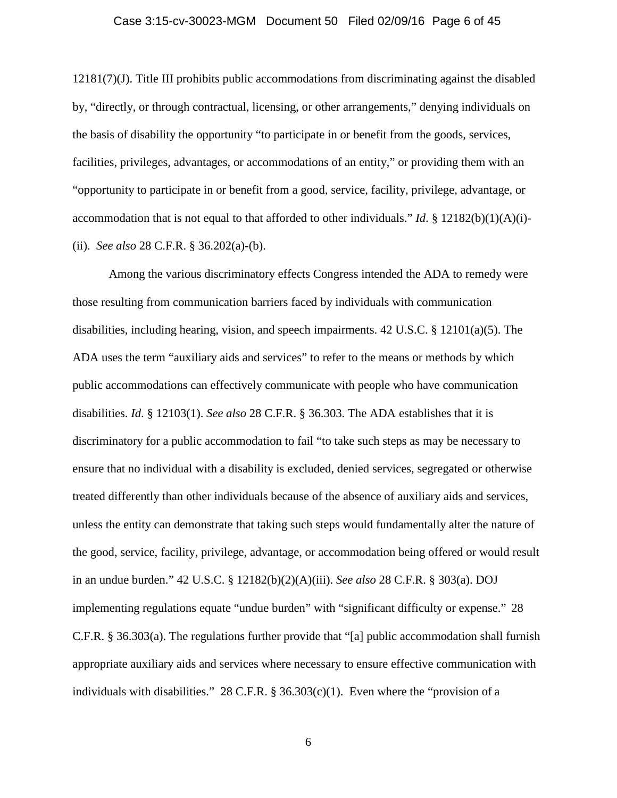## Case 3:15-cv-30023-MGM Document 50 Filed 02/09/16 Page 6 of 45

12181(7)(J). Title III prohibits public accommodations from discriminating against the disabled by, "directly, or through contractual, licensing, or other arrangements," denying individuals on the basis of disability the opportunity "to participate in or benefit from the goods, services, facilities, privileges, advantages, or accommodations of an entity," or providing them with an "opportunity to participate in or benefit from a good, service, facility, privilege, advantage, or accommodation that is not equal to that afforded to other individuals." *Id*. § 12182(b)(1)(A)(i)-(ii). *See also* 28 C.F.R. § 36.202(a)-(b).

Among the various discriminatory effects Congress intended the ADA to remedy were those resulting from communication barriers faced by individuals with communication disabilities, including hearing, vision, and speech impairments. 42 U.S.C. § 12101(a)(5). The ADA uses the term "auxiliary aids and services" to refer to the means or methods by which public accommodations can effectively communicate with people who have communication disabilities. *Id*. § 12103(1). *See also* 28 C.F.R. § 36.303. The ADA establishes that it is discriminatory for a public accommodation to fail "to take such steps as may be necessary to ensure that no individual with a disability is excluded, denied services, segregated or otherwise treated differently than other individuals because of the absence of auxiliary aids and services, unless the entity can demonstrate that taking such steps would fundamentally alter the nature of the good, service, facility, privilege, advantage, or accommodation being offered or would result in an undue burden." 42 U.S.C. § 12182(b)(2)(A)(iii). *See also* 28 C.F.R. § 303(a). DOJ implementing regulations equate "undue burden" with "significant difficulty or expense." 28 C.F.R. § 36.303(a). The regulations further provide that "[a] public accommodation shall furnish appropriate auxiliary aids and services where necessary to ensure effective communication with individuals with disabilities." 28 C.F.R.  $\S$  36.303(c)(1). Even where the "provision of a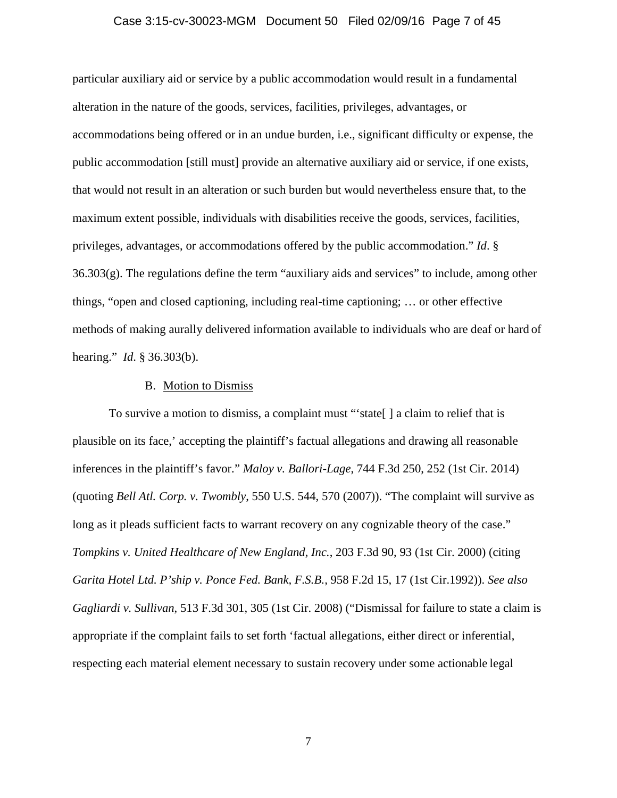## Case 3:15-cv-30023-MGM Document 50 Filed 02/09/16 Page 7 of 45

particular auxiliary aid or service by a public accommodation would result in a fundamental alteration in the nature of the goods, services, facilities, privileges, advantages, or accommodations being offered or in an undue burden, i.e., significant difficulty or expense, the public accommodation [still must] provide an alternative auxiliary aid or service, if one exists, that would not result in an alteration or such burden but would nevertheless ensure that, to the maximum extent possible, individuals with disabilities receive the goods, services, facilities, privileges, advantages, or accommodations offered by the public accommodation." *Id*. §  $36.303(g)$ . The regulations define the term "auxiliary aids and services" to include, among other things, "open and closed captioning, including real-time captioning; … or other effective methods of making aurally delivered information available to individuals who are deaf or hard of hearing." *Id*. § 36.303(b).

### B. Motion to Dismiss

To survive a motion to dismiss, a complaint must "'state[ ] a claim to relief that is plausible on its face,' accepting the plaintiff's factual allegations and drawing all reasonable inferences in the plaintiff's favor." *Maloy v. Ballori-Lage*, 744 F.3d 250, 252 (1st Cir. 2014) (quoting *Bell Atl. Corp. v. Twombly*, 550 U.S. 544, 570 (2007)). "The complaint will survive as long as it pleads sufficient facts to warrant recovery on any cognizable theory of the case." *Tompkins v. United Healthcare of New England, Inc.*, 203 F.3d 90, 93 (1st Cir. 2000) (citing *Garita Hotel Ltd. P'ship v. Ponce Fed. Bank, F.S.B.,* 958 F.2d 15, 17 (1st Cir.1992)). *See also Gagliardi v. Sullivan*, 513 F.3d 301, 305 (1st Cir. 2008) ("Dismissal for failure to state a claim is appropriate if the complaint fails to set forth 'factual allegations, either direct or inferential, respecting each material element necessary to sustain recovery under some actionable legal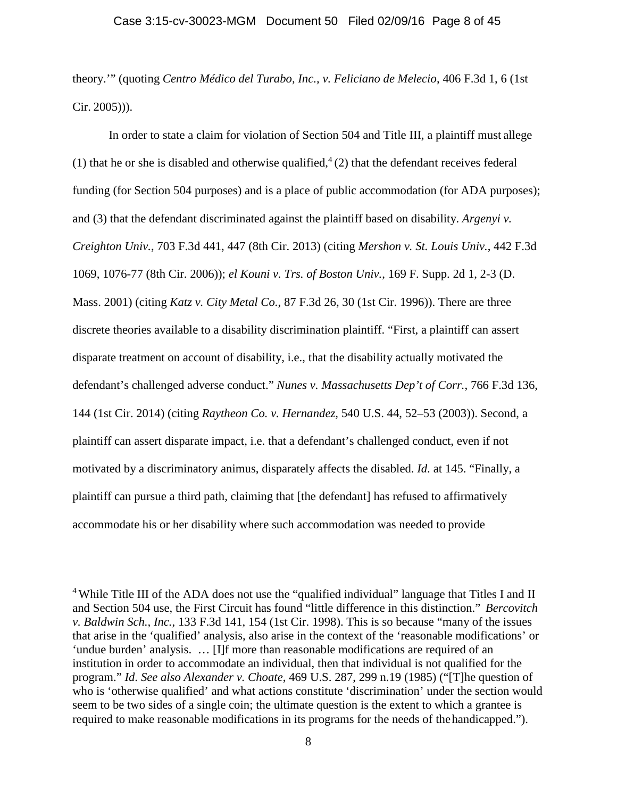## Case 3:15-cv-30023-MGM Document 50 Filed 02/09/16 Page 8 of 45

theory.'" (quoting *Centro Médico del Turabo, Inc., v. Feliciano de Melecio*, 406 F.3d 1, 6 (1st Cir. 2005))).

In order to state a claim for violation of Section 504 and Title III, a plaintiff must allege (1) that he or she is disabled and otherwise qualified,  $4(2)$  that the defendant receives federal funding (for Section 504 purposes) and is a place of public accommodation (for ADA purposes); and (3) that the defendant discriminated against the plaintiff based on disability. *Argenyi v. Creighton Univ.*, 703 F.3d 441, 447 (8th Cir. 2013) (citing *Mershon v. St. Louis Univ.*, 442 F.3d 1069, 1076-77 (8th Cir. 2006)); *el Kouni v. Trs. of Boston Univ.*, 169 F. Supp. 2d 1, 2-3 (D. Mass. 2001) (citing *Katz v. City Metal Co.*, 87 F.3d 26, 30 (1st Cir. 1996)). There are three discrete theories available to a disability discrimination plaintiff. "First, a plaintiff can assert disparate treatment on account of disability, i.e., that the disability actually motivated the defendant's challenged adverse conduct." *Nunes v. Massachusetts Dep't of Corr.*, 766 F.3d 136, 144 (1st Cir. 2014) (citing *Raytheon Co. v. Hernandez,* 540 U.S. 44, 52–53 (2003)). Second, a plaintiff can assert disparate impact, i.e. that a defendant's challenged conduct, even if not motivated by a discriminatory animus, disparately affects the disabled. *Id*. at 145. "Finally, a plaintiff can pursue a third path, claiming that [the defendant] has refused to affirmatively accommodate his or her disability where such accommodation was needed to provide

<sup>4</sup> While Title III of the ADA does not use the "qualified individual" language that Titles I and II and Section 504 use, the First Circuit has found "little difference in this distinction." *Bercovitch v. Baldwin Sch., Inc.*, 133 F.3d 141, 154 (1st Cir. 1998). This is so because "many of the issues that arise in the 'qualified' analysis, also arise in the context of the 'reasonable modifications' or 'undue burden' analysis. … [I]f more than reasonable modifications are required of an institution in order to accommodate an individual, then that individual is not qualified for the program." *Id*. *See also Alexander v. Choate*, 469 U.S. 287, 299 n.19 (1985) ("[T]he question of who is 'otherwise qualified' and what actions constitute 'discrimination' under the section would seem to be two sides of a single coin; the ultimate question is the extent to which a grantee is required to make reasonable modifications in its programs for the needs of thehandicapped.").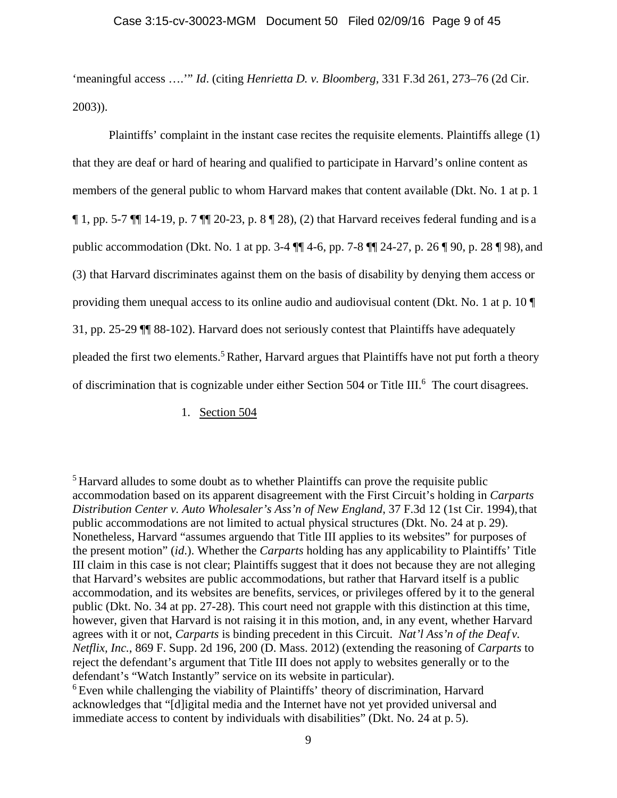## Case 3:15-cv-30023-MGM Document 50 Filed 02/09/16 Page 9 of 45

'meaningful access ….'" *Id*. (citing *Henrietta D. v. Bloomberg,* 331 F.3d 261, 273–76 (2d Cir. 2003)).

Plaintiffs' complaint in the instant case recites the requisite elements. Plaintiffs allege (1) that they are deaf or hard of hearing and qualified to participate in Harvard's online content as members of the general public to whom Harvard makes that content available (Dkt. No. 1 at p. 1  $\P$  1, pp. 5-7  $\P$  $\P$  14-19, p. 7  $\P$  $\P$  20-23, p. 8  $\P$  28), (2) that Harvard receives federal funding and is a public accommodation (Dkt. No. 1 at pp. 3-4 ¶¶ 4-6, pp. 7-8 ¶¶ 24-27, p. 26 ¶ 90, p. 28 ¶ 98), and (3) that Harvard discriminates against them on the basis of disability by denying them access or providing them unequal access to its online audio and audiovisual content (Dkt. No. 1 at p. 10 ¶ 31, pp. 25-29 ¶¶ 88-102). Harvard does not seriously contest that Plaintiffs have adequately pleaded the first two elements.<sup>5</sup> Rather, Harvard argues that Plaintiffs have not put forth a theory of discrimination that is cognizable under either Section 504 or Title III.<sup>6</sup> The court disagrees.

1. Section 504

<sup>5</sup> Harvard alludes to some doubt as to whether Plaintiffs can prove the requisite public accommodation based on its apparent disagreement with the First Circuit's holding in *Carparts Distribution Center v. Auto Wholesaler's Ass'n of New England*, 37 F.3d 12 (1st Cir. 1994), that public accommodations are not limited to actual physical structures (Dkt. No. 24 at p. 29). Nonetheless, Harvard "assumes arguendo that Title III applies to its websites" for purposes of the present motion" (*id*.). Whether the *Carparts* holding has any applicability to Plaintiffs' Title III claim in this case is not clear; Plaintiffs suggest that it does not because they are not alleging that Harvard's websites are public accommodations, but rather that Harvard itself is a public accommodation, and its websites are benefits, services, or privileges offered by it to the general public (Dkt. No. 34 at pp. 27-28). This court need not grapple with this distinction at this time, however, given that Harvard is not raising it in this motion, and, in any event, whether Harvard agrees with it or not, *Carparts* is binding precedent in this Circuit. *Nat'l Ass'n of the Deaf v. Netflix, Inc.*, 869 F. Supp. 2d 196, 200 (D. Mass. 2012) (extending the reasoning of *Carparts* to reject the defendant's argument that Title III does not apply to websites generally or to the defendant's "Watch Instantly" service on its website in particular).

<sup>6</sup> Even while challenging the viability of Plaintiffs' theory of discrimination, Harvard acknowledges that "[d]igital media and the Internet have not yet provided universal and immediate access to content by individuals with disabilities" (Dkt. No. 24 at p. 5).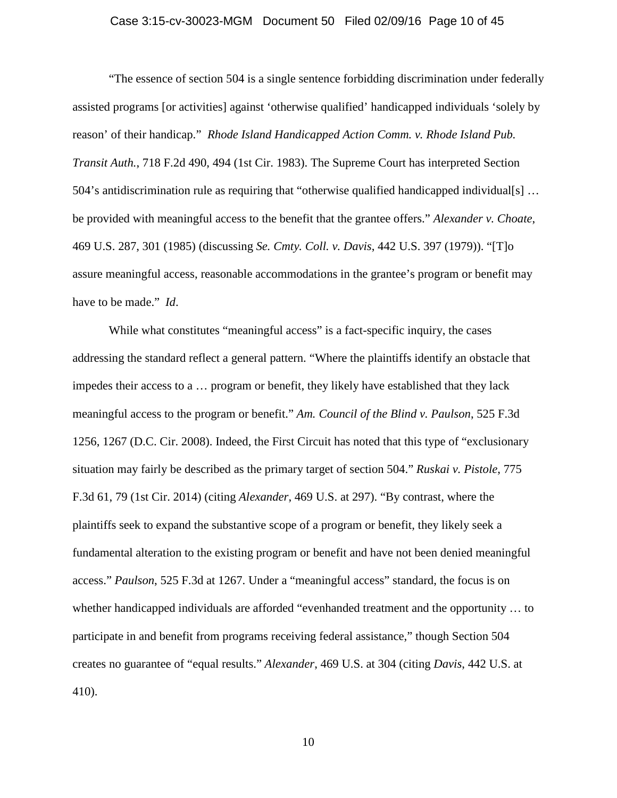## Case 3:15-cv-30023-MGM Document 50 Filed 02/09/16 Page 10 of 45

"The essence of section 504 is a single sentence forbidding discrimination under federally assisted programs [or activities] against 'otherwise qualified' handicapped individuals 'solely by reason' of their handicap." *Rhode Island Handicapped Action Comm. v. Rhode Island Pub. Transit Auth.*, 718 F.2d 490, 494 (1st Cir. 1983). The Supreme Court has interpreted Section 504's antidiscrimination rule as requiring that "otherwise qualified handicapped individual[s] ... be provided with meaningful access to the benefit that the grantee offers." *Alexander v. Choate*, 469 U.S. 287, 301 (1985) (discussing *Se. Cmty. Coll. v. Davis*, 442 U.S. 397 (1979)). "[T]o assure meaningful access, reasonable accommodations in the grantee's program or benefit may have to be made." *Id*.

While what constitutes "meaningful access" is a fact-specific inquiry, the cases addressing the standard reflect a general pattern. "Where the plaintiffs identify an obstacle that impedes their access to a … program or benefit, they likely have established that they lack meaningful access to the program or benefit." *Am. Council of the Blind v. Paulson*, 525 F.3d 1256, 1267 (D.C. Cir. 2008). Indeed, the First Circuit has noted that this type of "exclusionary situation may fairly be described as the primary target of section 504." *Ruskai v. Pistole*, 775 F.3d 61, 79 (1st Cir. 2014) (citing *Alexander*, 469 U.S. at 297). "By contrast, where the plaintiffs seek to expand the substantive scope of a program or benefit, they likely seek a fundamental alteration to the existing program or benefit and have not been denied meaningful access." *Paulson*, 525 F.3d at 1267. Under a "meaningful access" standard, the focus is on whether handicapped individuals are afforded "evenhanded treatment and the opportunity … to participate in and benefit from programs receiving federal assistance," though Section 504 creates no guarantee of "equal results." *Alexander*, 469 U.S. at 304 (citing *Davis*, 442 U.S. at 410).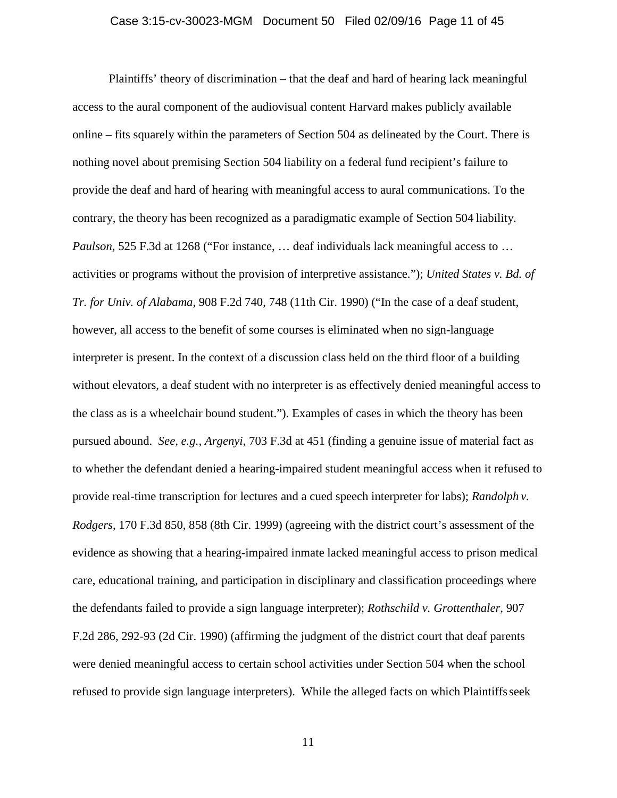## Case 3:15-cv-30023-MGM Document 50 Filed 02/09/16 Page 11 of 45

Plaintiffs' theory of discrimination – that the deaf and hard of hearing lack meaningful access to the aural component of the audiovisual content Harvard makes publicly available online – fits squarely within the parameters of Section 504 as delineated by the Court. There is nothing novel about premising Section 504 liability on a federal fund recipient's failure to provide the deaf and hard of hearing with meaningful access to aural communications. To the contrary, the theory has been recognized as a paradigmatic example of Section 504 liability. *Paulson*, 525 F.3d at 1268 ("For instance, ... deaf individuals lack meaningful access to ... activities or programs without the provision of interpretive assistance."); *United States v. Bd. of Tr. for Univ. of Alabama*, 908 F.2d 740, 748 (11th Cir. 1990) ("In the case of a deaf student, however, all access to the benefit of some courses is eliminated when no sign-language interpreter is present. In the context of a discussion class held on the third floor of a building without elevators, a deaf student with no interpreter is as effectively denied meaningful access to the class as is a wheelchair bound student."). Examples of cases in which the theory has been pursued abound. *See, e.g., Argenyi*, 703 F.3d at 451 (finding a genuine issue of material fact as to whether the defendant denied a hearing-impaired student meaningful access when it refused to provide real-time transcription for lectures and a cued speech interpreter for labs); *Randolph v. Rodgers*, 170 F.3d 850, 858 (8th Cir. 1999) (agreeing with the district court's assessment of the evidence as showing that a hearing-impaired inmate lacked meaningful access to prison medical care, educational training, and participation in disciplinary and classification proceedings where the defendants failed to provide a sign language interpreter); *Rothschild v. Grottenthaler*, 907 F.2d 286, 292-93 (2d Cir. 1990) (affirming the judgment of the district court that deaf parents were denied meaningful access to certain school activities under Section 504 when the school refused to provide sign language interpreters). While the alleged facts on which Plaintiffsseek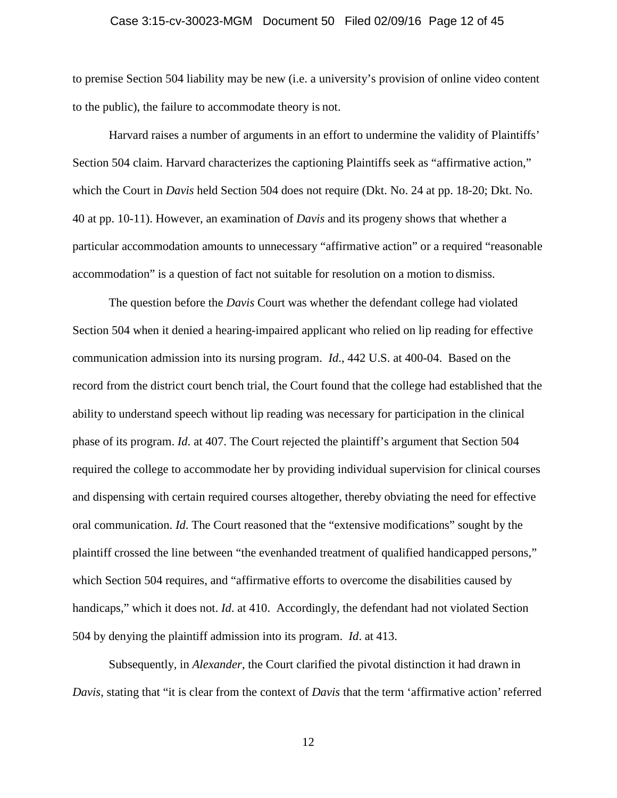## Case 3:15-cv-30023-MGM Document 50 Filed 02/09/16 Page 12 of 45

to premise Section 504 liability may be new (i.e. a university's provision of online video content to the public), the failure to accommodate theory is not.

Harvard raises a number of arguments in an effort to undermine the validity of Plaintiffs' Section 504 claim. Harvard characterizes the captioning Plaintiffs seek as "affirmative action," which the Court in *Davis* held Section 504 does not require (Dkt. No. 24 at pp. 18-20; Dkt. No. 40 at pp. 10-11). However, an examination of *Davis* and its progeny shows that whether a particular accommodation amounts to unnecessary "affirmative action" or a required "reasonable accommodation" is a question of fact not suitable for resolution on a motion to dismiss.

The question before the *Davis* Court was whether the defendant college had violated Section 504 when it denied a hearing-impaired applicant who relied on lip reading for effective communication admission into its nursing program. *Id*., 442 U.S. at 400-04. Based on the record from the district court bench trial, the Court found that the college had established that the ability to understand speech without lip reading was necessary for participation in the clinical phase of its program. *Id*. at 407. The Court rejected the plaintiff's argument that Section 504 required the college to accommodate her by providing individual supervision for clinical courses and dispensing with certain required courses altogether, thereby obviating the need for effective oral communication. *Id*. The Court reasoned that the "extensive modifications" sought by the plaintiff crossed the line between "the evenhanded treatment of qualified handicapped persons," which Section 504 requires, and "affirmative efforts to overcome the disabilities caused by handicaps," which it does not. *Id*. at 410. Accordingly, the defendant had not violated Section 504 by denying the plaintiff admission into its program. *Id*. at 413.

Subsequently, in *Alexander*, the Court clarified the pivotal distinction it had drawn in *Davis*, stating that "it is clear from the context of *Davis* that the term 'affirmative action' referred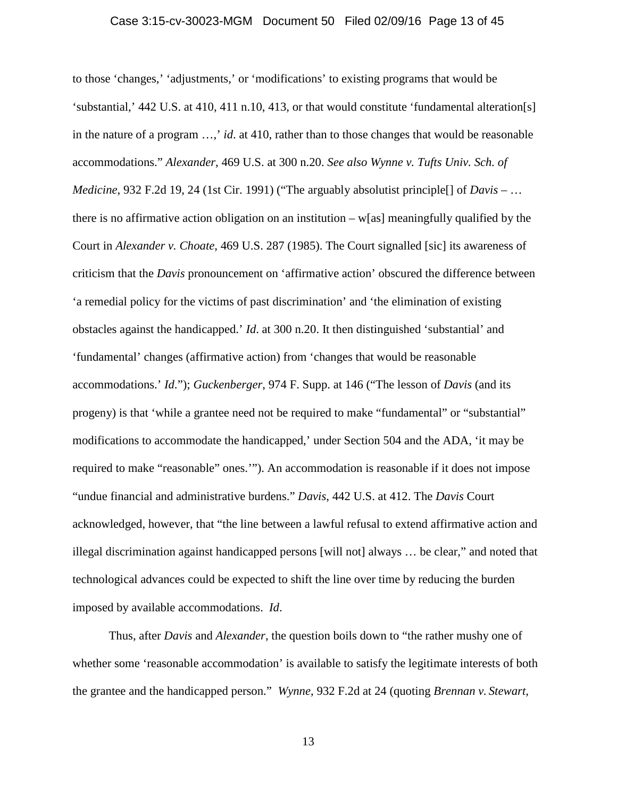## Case 3:15-cv-30023-MGM Document 50 Filed 02/09/16 Page 13 of 45

to those 'changes,' 'adjustments,' or 'modifications' to existing programs that would be 'substantial,' 442 U.S. at 410, 411 n.10, 413, or that would constitute 'fundamental alteration[s] in the nature of a program …,' *id*. at 410, rather than to those changes that would be reasonable accommodations." *Alexander*, 469 U.S. at 300 n.20. *See also Wynne v. Tufts Univ. Sch. of Medicine*, 932 F.2d 19, 24 (1st Cir. 1991) ("The arguably absolutist principle[] of *Davis* – … there is no affirmative action obligation on an institution  $-\mathbf{w}$ [as] meaningfully qualified by the Court in *Alexander v. Choate*, 469 U.S. 287 (1985). The Court signalled [sic] its awareness of criticism that the *Davis* pronouncement on 'affirmative action' obscured the difference between 'a remedial policy for the victims of past discrimination' and 'the elimination of existing obstacles against the handicapped.' *Id*. at 300 n.20. It then distinguished 'substantial' and 'fundamental' changes (affirmative action) from 'changes that would be reasonable accommodations.' *Id*."); *Guckenberger*, 974 F. Supp. at 146 ("The lesson of *Davis* (and its progeny) is that 'while a grantee need not be required to make "fundamental" or "substantial" modifications to accommodate the handicapped,' under Section 504 and the ADA, 'it may be required to make "reasonable" ones.'"). An accommodation is reasonable if it does not impose "undue financial and administrative burdens." *Davis*, 442 U.S. at 412. The *Davis* Court acknowledged, however, that "the line between a lawful refusal to extend affirmative action and illegal discrimination against handicapped persons [will not] always … be clear," and noted that technological advances could be expected to shift the line over time by reducing the burden imposed by available accommodations. *Id*.

Thus, after *Davis* and *Alexander*, the question boils down to "the rather mushy one of whether some 'reasonable accommodation' is available to satisfy the legitimate interests of both the grantee and the handicapped person." *Wynne*, 932 F.2d at 24 (quoting *Brennan v. Stewart*,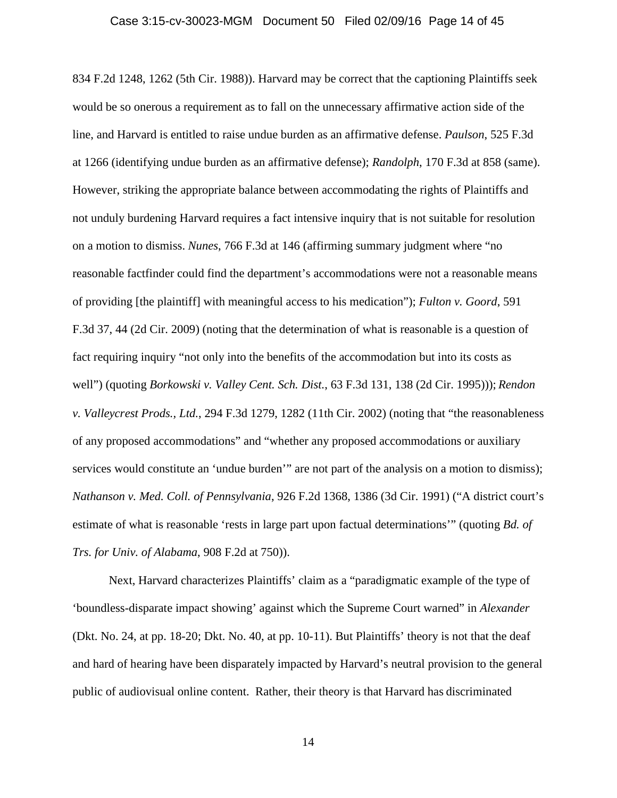## Case 3:15-cv-30023-MGM Document 50 Filed 02/09/16 Page 14 of 45

834 F.2d 1248, 1262 (5th Cir. 1988)). Harvard may be correct that the captioning Plaintiffs seek would be so onerous a requirement as to fall on the unnecessary affirmative action side of the line, and Harvard is entitled to raise undue burden as an affirmative defense. *Paulson*, 525 F.3d at 1266 (identifying undue burden as an affirmative defense); *Randolph*, 170 F.3d at 858 (same). However, striking the appropriate balance between accommodating the rights of Plaintiffs and not unduly burdening Harvard requires a fact intensive inquiry that is not suitable for resolution on a motion to dismiss. *Nunes*, 766 F.3d at 146 (affirming summary judgment where "no reasonable factfinder could find the department's accommodations were not a reasonable means of providing [the plaintiff] with meaningful access to his medication"); *Fulton v. Goord*, 591 F.3d 37, 44 (2d Cir. 2009) (noting that the determination of what is reasonable is a question of fact requiring inquiry "not only into the benefits of the accommodation but into its costs as well") (quoting *Borkowski v. Valley Cent. Sch. Dist.*, 63 F.3d 131, 138 (2d Cir. 1995))); *Rendon v. Valleycrest Prods., Ltd.*, 294 F.3d 1279, 1282 (11th Cir. 2002) (noting that "the reasonableness of any proposed accommodations" and "whether any proposed accommodations or auxiliary services would constitute an 'undue burden'" are not part of the analysis on a motion to dismiss); *Nathanson v. Med. Coll. of Pennsylvania*, 926 F.2d 1368, 1386 (3d Cir. 1991) ("A district court's estimate of what is reasonable 'rests in large part upon factual determinations'" (quoting *Bd. of Trs. for Univ. of Alabama*, 908 F.2d at 750)).

Next, Harvard characterizes Plaintiffs' claim as a "paradigmatic example of the type of 'boundless-disparate impact showing' against which the Supreme Court warned" in *Alexander* (Dkt. No. 24, at pp. 18-20; Dkt. No. 40, at pp. 10-11). But Plaintiffs' theory is not that the deaf and hard of hearing have been disparately impacted by Harvard's neutral provision to the general public of audiovisual online content. Rather, their theory is that Harvard has discriminated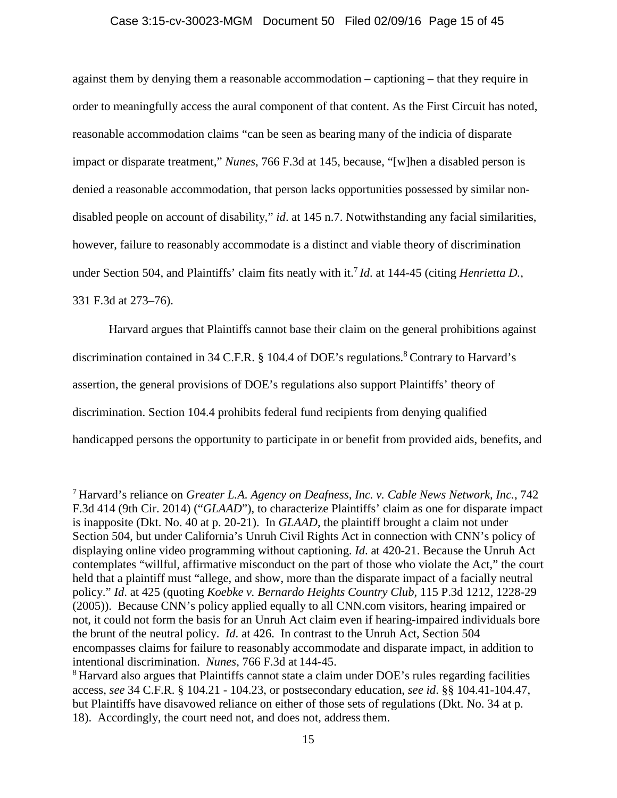## Case 3:15-cv-30023-MGM Document 50 Filed 02/09/16 Page 15 of 45

against them by denying them a reasonable accommodation – captioning – that they require in order to meaningfully access the aural component of that content. As the First Circuit has noted, reasonable accommodation claims "can be seen as bearing many of the indicia of disparate impact or disparate treatment," *Nunes*, 766 F.3d at 145, because, "[w]hen a disabled person is denied a reasonable accommodation, that person lacks opportunities possessed by similar nondisabled people on account of disability," *id*. at 145 n.7. Notwithstanding any facial similarities, however, failure to reasonably accommodate is a distinct and viable theory of discrimination under Section 504, and Plaintiffs' claim fits neatly with it.<sup>7</sup> *Id*. at 144-45 (citing *Henrietta D.,* 331 F.3d at 273–76).

Harvard argues that Plaintiffs cannot base their claim on the general prohibitions against discrimination contained in 34 C.F.R. § 104.4 of DOE's regulations.<sup>8</sup> Contrary to Harvard's assertion, the general provisions of DOE's regulations also support Plaintiffs' theory of discrimination. Section 104.4 prohibits federal fund recipients from denying qualified handicapped persons the opportunity to participate in or benefit from provided aids, benefits, and

<sup>8</sup> Harvard also argues that Plaintiffs cannot state a claim under DOE's rules regarding facilities access, *see* 34 C.F.R. § 104.21 - 104.23, or postsecondary education, *see id*. §§ 104.41-104.47, but Plaintiffs have disavowed reliance on either of those sets of regulations (Dkt. No. 34 at p. 18). Accordingly, the court need not, and does not, address them.

<sup>7</sup> Harvard's reliance on *Greater L.A. Agency on Deafness, Inc. v. Cable News Network, Inc.*, 742 F.3d 414 (9th Cir. 2014) ("*GLAAD*"), to characterize Plaintiffs' claim as one for disparate impact is inapposite (Dkt. No. 40 at p. 20-21). In *GLAAD*, the plaintiff brought a claim not under Section 504, but under California's Unruh Civil Rights Act in connection with CNN's policy of displaying online video programming without captioning. *Id*. at 420-21. Because the Unruh Act contemplates "willful, affirmative misconduct on the part of those who violate the Act," the court held that a plaintiff must "allege, and show, more than the disparate impact of a facially neutral policy." *Id*. at 425 (quoting *Koebke v. Bernardo Heights Country Club*, 115 P.3d 1212, 1228-29 (2005)). Because CNN's policy applied equally to all CNN.com visitors, hearing impaired or not, it could not form the basis for an Unruh Act claim even if hearing-impaired individuals bore the brunt of the neutral policy. *Id*. at 426. In contrast to the Unruh Act, Section 504 encompasses claims for failure to reasonably accommodate and disparate impact, in addition to intentional discrimination. *Nunes*, 766 F.3d at 144-45.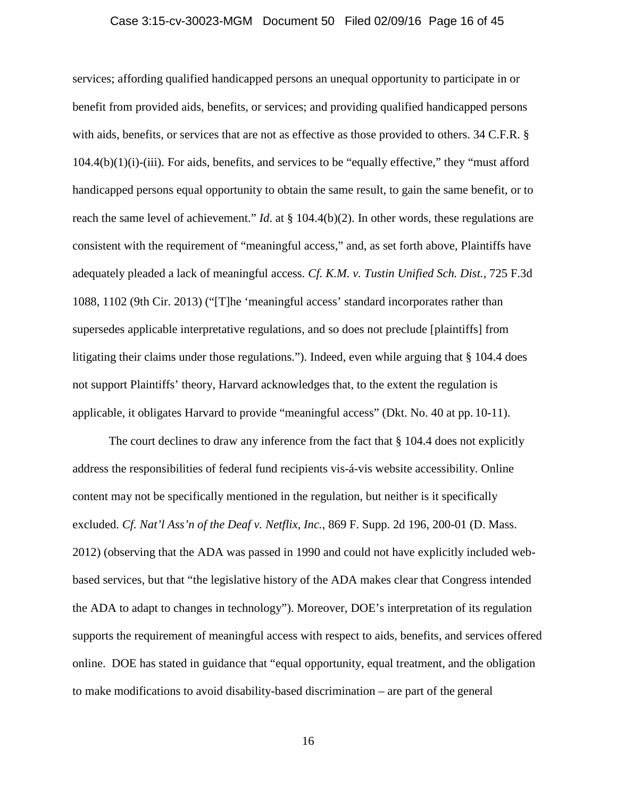## Case 3:15-cv-30023-MGM Document 50 Filed 02/09/16 Page 16 of 45

services; affording qualified handicapped persons an unequal opportunity to participate in or benefit from provided aids, benefits, or services; and providing qualified handicapped persons with aids, benefits, or services that are not as effective as those provided to others. 34 C.F.R. § 104.4(b)(1)(i)-(iii). For aids, benefits, and services to be "equally effective," they "must afford handicapped persons equal opportunity to obtain the same result, to gain the same benefit, or to reach the same level of achievement." *Id*. at § 104.4(b)(2). In other words, these regulations are consistent with the requirement of "meaningful access," and, as set forth above, Plaintiffs have adequately pleaded a lack of meaningful access. *Cf. K.M. v. Tustin Unified Sch. Dist.*, 725 F.3d 1088, 1102 (9th Cir. 2013) ("[T]he 'meaningful access' standard incorporates rather than supersedes applicable interpretative regulations, and so does not preclude [plaintiffs] from litigating their claims under those regulations."). Indeed, even while arguing that § 104.4 does not support Plaintiffs' theory, Harvard acknowledges that, to the extent the regulation is applicable, it obligates Harvard to provide "meaningful access" (Dkt. No. 40 at pp. 10-11).

The court declines to draw any inference from the fact that  $\S$  104.4 does not explicitly address the responsibilities of federal fund recipients vis-á-vis website accessibility. Online content may not be specifically mentioned in the regulation, but neither is it specifically excluded. *Cf. Nat'l Ass'n of the Deaf v. Netflix, Inc.*, 869 F. Supp. 2d 196, 200-01 (D. Mass. 2012) (observing that the ADA was passed in 1990 and could not have explicitly included webbased services, but that "the legislative history of the ADA makes clear that Congress intended the ADA to adapt to changes in technology"). Moreover, DOE's interpretation of its regulation supports the requirement of meaningful access with respect to aids, benefits, and services offered online. DOE has stated in guidance that "equal opportunity, equal treatment, and the obligation to make modifications to avoid disability-based discrimination – are part of the general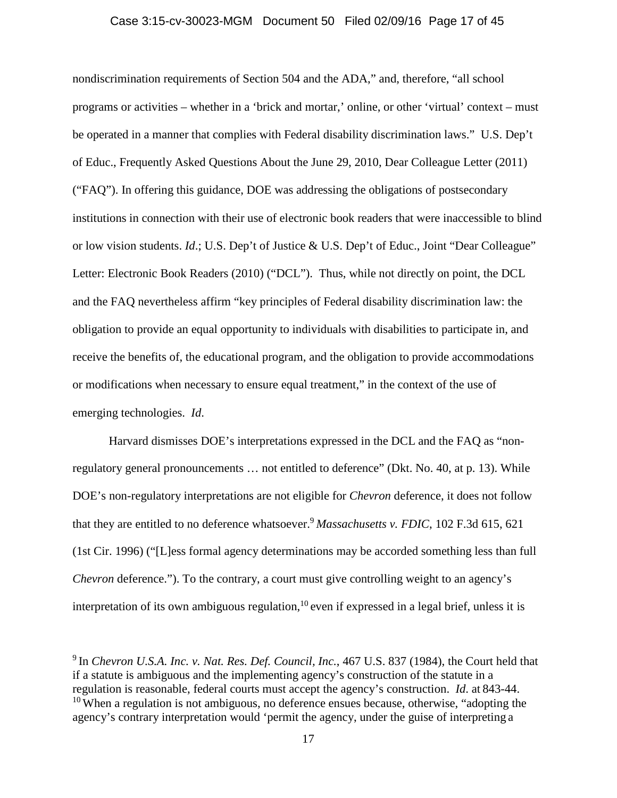## Case 3:15-cv-30023-MGM Document 50 Filed 02/09/16 Page 17 of 45

nondiscrimination requirements of Section 504 and the ADA," and, therefore, "all school programs or activities – whether in a 'brick and mortar,' online, or other 'virtual' context – must be operated in a manner that complies with Federal disability discrimination laws." U.S. Dep't of Educ., Frequently Asked Questions About the June 29, 2010, Dear Colleague Letter (2011) ("FAQ"). In offering this guidance, DOE was addressing the obligations of postsecondary institutions in connection with their use of electronic book readers that were inaccessible to blind or low vision students. *Id*.; U.S. Dep't of Justice & U.S. Dep't of Educ., Joint "Dear Colleague" Letter: Electronic Book Readers (2010) ("DCL"). Thus, while not directly on point, the DCL and the FAQ nevertheless affirm "key principles of Federal disability discrimination law: the obligation to provide an equal opportunity to individuals with disabilities to participate in, and receive the benefits of, the educational program, and the obligation to provide accommodations or modifications when necessary to ensure equal treatment," in the context of the use of emerging technologies. *Id*.

Harvard dismisses DOE's interpretations expressed in the DCL and the FAQ as "nonregulatory general pronouncements … not entitled to deference" (Dkt. No. 40, at p. 13). While DOE's non-regulatory interpretations are not eligible for *Chevron* deference, it does not follow that they are entitled to no deference whatsoever.<sup>9</sup> *Massachusetts v. FDIC*, 102 F.3d 615, 621 (1st Cir. 1996) ("[L]ess formal agency determinations may be accorded something less than full *Chevron* deference."). To the contrary, a court must give controlling weight to an agency's interpretation of its own ambiguous regulation,  $10$  even if expressed in a legal brief, unless it is

<sup>9</sup> In *Chevron U.S.A. Inc. v. Nat. Res. Def. Council, Inc.*, 467 U.S. 837 (1984), the Court held that if a statute is ambiguous and the implementing agency's construction of the statute in a regulation is reasonable, federal courts must accept the agency's construction. *Id*. at 843-44.  $10$  When a regulation is not ambiguous, no deference ensues because, otherwise, "adopting the agency's contrary interpretation would 'permit the agency, under the guise of interpreting a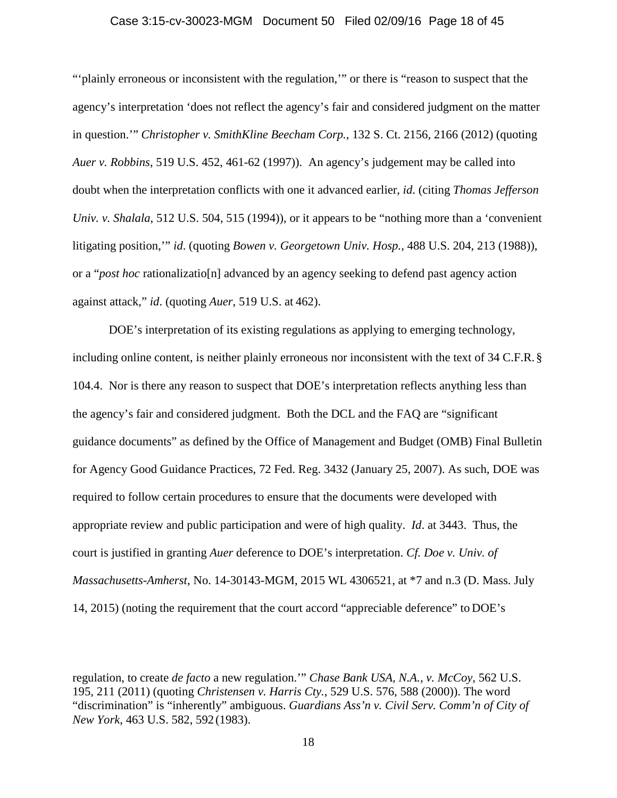## Case 3:15-cv-30023-MGM Document 50 Filed 02/09/16 Page 18 of 45

"'plainly erroneous or inconsistent with the regulation,'" or there is "reason to suspect that the agency's interpretation 'does not reflect the agency's fair and considered judgment on the matter in question.'" *Christopher v. SmithKline Beecham Corp.*, 132 S. Ct. 2156, 2166 (2012) (quoting *Auer v. Robbins*, 519 U.S. 452, 461-62 (1997)). An agency's judgement may be called into doubt when the interpretation conflicts with one it advanced earlier, *id*. (citing *Thomas Jefferson Univ. v. Shalala*, 512 U.S. 504, 515 (1994)), or it appears to be "nothing more than a "convenient" litigating position,'" *id*. (quoting *Bowen v. Georgetown Univ. Hosp.*, 488 U.S. 204, 213 (1988)), or a "*post hoc* rationalizatio[n] advanced by an agency seeking to defend past agency action against attack," *id*. (quoting *Auer*, 519 U.S. at 462).

DOE's interpretation of its existing regulations as applying to emerging technology, including online content, is neither plainly erroneous nor inconsistent with the text of 34 C.F.R. § 104.4. Nor is there any reason to suspect that DOE's interpretation reflects anything less than the agency's fair and considered judgment. Both the DCL and the FAQ are "significant guidance documents" as defined by the Office of Management and Budget (OMB) Final Bulletin for Agency Good Guidance Practices, 72 Fed. Reg. 3432 (January 25, 2007). As such, DOE was required to follow certain procedures to ensure that the documents were developed with appropriate review and public participation and were of high quality. *Id*. at 3443. Thus, the court is justified in granting *Auer* deference to DOE's interpretation. *Cf. Doe v. Univ. of Massachusetts-Amherst*, No. 14-30143-MGM, 2015 WL 4306521, at \*7 and n.3 (D. Mass. July 14, 2015) (noting the requirement that the court accord "appreciable deference" to DOE's

regulation, to create *de facto* a new regulation.'" *Chase Bank USA, N.A., v. McCoy*, 562 U.S. 195, 211 (2011) (quoting *Christensen v. Harris Cty.*, 529 U.S. 576, 588 (2000)). The word "discrimination" is "inherently" ambiguous. *Guardians Ass'n v. Civil Serv. Comm'n of City of New York*, 463 U.S. 582, 592 (1983).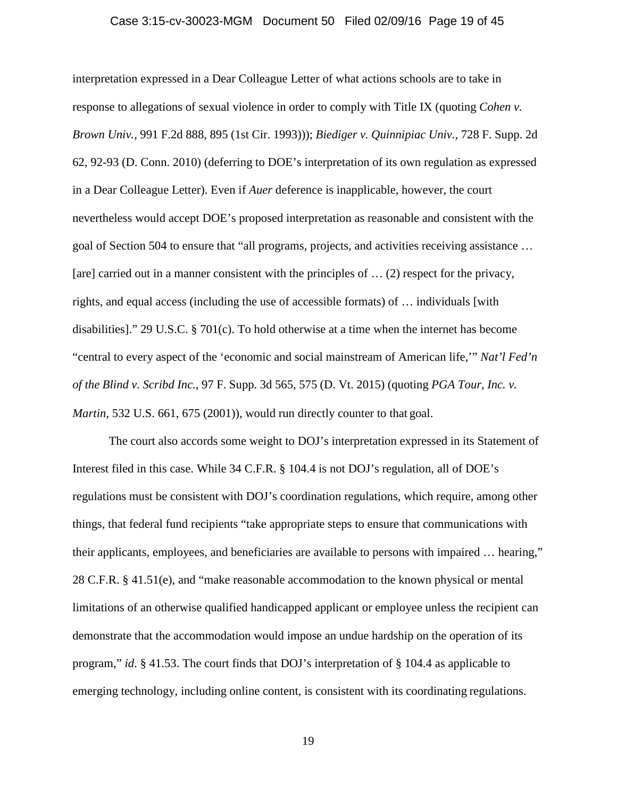### Case 3:15-cv-30023-MGM Document 50 Filed 02/09/16 Page 19 of 45

interpretation expressed in a Dear Colleague Letter of what actions schools are to take in response to allegations of sexual violence in order to comply with Title IX (quoting *Cohen v. Brown Univ.*, 991 F.2d 888, 895 (1st Cir. 1993))); *Biediger v. Quinnipiac Univ.*, 728 F. Supp. 2d 62, 92-93 (D. Conn. 2010) (deferring to DOE's interpretation of its own regulation as expressed in a Dear Colleague Letter). Even if *Auer* deference is inapplicable, however, the court nevertheless would accept DOE's proposed interpretation as reasonable and consistent with the goal of Section 504 to ensure that "all programs, projects, and activities receiving assistance … [are] carried out in a manner consistent with the principles of ... (2) respect for the privacy, rights, and equal access (including the use of accessible formats) of … individuals [with disabilities]." 29 U.S.C. § 701(c). To hold otherwise at a time when the internet has become "central to every aspect of the 'economic and social mainstream of American life,'" *Nat'l Fed'n of the Blind v. Scribd Inc.*, 97 F. Supp. 3d 565, 575 (D. Vt. 2015) (quoting *PGA Tour, Inc. v. Martin*, 532 U.S. 661, 675 (2001)), would run directly counter to that goal.

The court also accords some weight to DOJ's interpretation expressed in its Statement of Interest filed in this case. While 34 C.F.R. § 104.4 is not DOJ's regulation, all of DOE's regulations must be consistent with DOJ's coordination regulations, which require, among other things, that federal fund recipients "take appropriate steps to ensure that communications with their applicants, employees, and beneficiaries are available to persons with impaired … hearing," 28 C.F.R. § 41.51(e), and "make reasonable accommodation to the known physical or mental limitations of an otherwise qualified handicapped applicant or employee unless the recipient can demonstrate that the accommodation would impose an undue hardship on the operation of its program," *id*. § 41.53. The court finds that DOJ's interpretation of § 104.4 as applicable to emerging technology, including online content, is consistent with its coordinating regulations.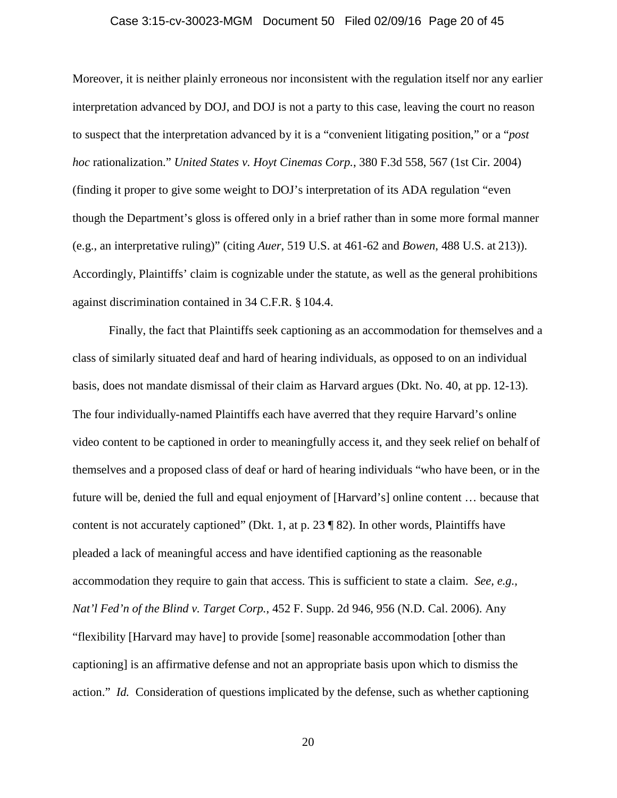### Case 3:15-cv-30023-MGM Document 50 Filed 02/09/16 Page 20 of 45

Moreover, it is neither plainly erroneous nor inconsistent with the regulation itself nor any earlier interpretation advanced by DOJ, and DOJ is not a party to this case, leaving the court no reason to suspect that the interpretation advanced by it is a "convenient litigating position," or a "*post hoc* rationalization." *United States v. Hoyt Cinemas Corp.*, 380 F.3d 558, 567 (1st Cir. 2004) (finding it proper to give some weight to DOJ's interpretation of its ADA regulation "even though the Department's gloss is offered only in a brief rather than in some more formal manner (e.g., an interpretative ruling)" (citing *Auer*, 519 U.S. at 461-62 and *Bowen*, 488 U.S. at 213)). Accordingly, Plaintiffs' claim is cognizable under the statute, as well as the general prohibitions against discrimination contained in 34 C.F.R. § 104.4.

Finally, the fact that Plaintiffs seek captioning as an accommodation for themselves and a class of similarly situated deaf and hard of hearing individuals, as opposed to on an individual basis, does not mandate dismissal of their claim as Harvard argues (Dkt. No. 40, at pp. 12-13). The four individually-named Plaintiffs each have averred that they require Harvard's online video content to be captioned in order to meaningfully access it, and they seek relief on behalf of themselves and a proposed class of deaf or hard of hearing individuals "who have been, or in the future will be, denied the full and equal enjoyment of [Harvard's] online content … because that content is not accurately captioned" (Dkt. 1, at p. 23 ¶ 82). In other words, Plaintiffs have pleaded a lack of meaningful access and have identified captioning as the reasonable accommodation they require to gain that access. This is sufficient to state a claim. *See, e.g., Nat'l Fed'n of the Blind v. Target Corp.*, 452 F. Supp. 2d 946, 956 (N.D. Cal. 2006). Any "flexibility [Harvard may have] to provide [some] reasonable accommodation [other than captioning] is an affirmative defense and not an appropriate basis upon which to dismiss the action." *Id.* Consideration of questions implicated by the defense, such as whether captioning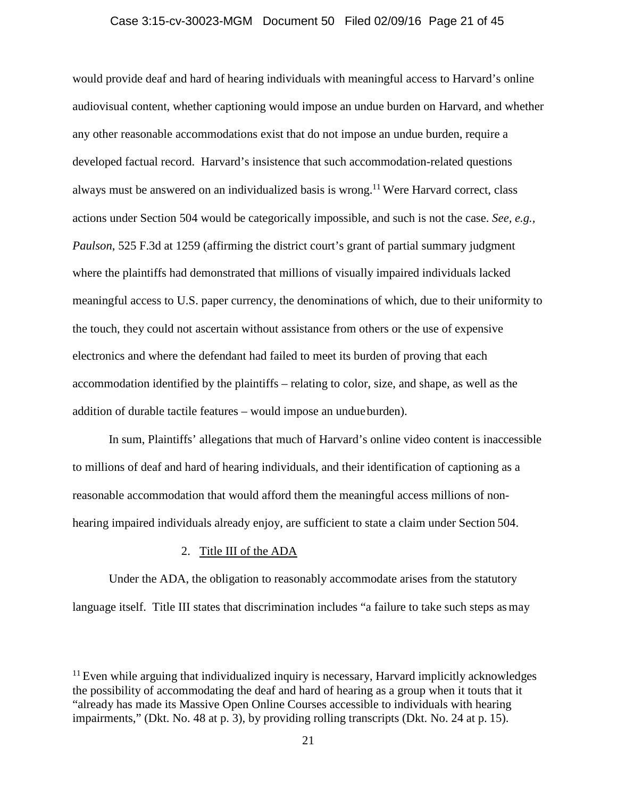## Case 3:15-cv-30023-MGM Document 50 Filed 02/09/16 Page 21 of 45

would provide deaf and hard of hearing individuals with meaningful access to Harvard's online audiovisual content, whether captioning would impose an undue burden on Harvard, and whether any other reasonable accommodations exist that do not impose an undue burden, require a developed factual record. Harvard's insistence that such accommodation-related questions always must be answered on an individualized basis is wrong.<sup>11</sup> Were Harvard correct, class actions under Section 504 would be categorically impossible, and such is not the case. *See, e.g., Paulson*, 525 F.3d at 1259 (affirming the district court's grant of partial summary judgment where the plaintiffs had demonstrated that millions of visually impaired individuals lacked meaningful access to U.S. paper currency, the denominations of which, due to their uniformity to the touch, they could not ascertain without assistance from others or the use of expensive electronics and where the defendant had failed to meet its burden of proving that each accommodation identified by the plaintiffs – relating to color, size, and shape, as well as the addition of durable tactile features – would impose an undueburden).

In sum, Plaintiffs' allegations that much of Harvard's online video content is inaccessible to millions of deaf and hard of hearing individuals, and their identification of captioning as a reasonable accommodation that would afford them the meaningful access millions of nonhearing impaired individuals already enjoy, are sufficient to state a claim under Section 504.

## 2. Title III of the ADA

Under the ADA, the obligation to reasonably accommodate arises from the statutory language itself. Title III states that discrimination includes "a failure to take such steps as may

 $11$  Even while arguing that individualized inquiry is necessary, Harvard implicitly acknowledges the possibility of accommodating the deaf and hard of hearing as a group when it touts that it "already has made its Massive Open Online Courses accessible to individuals with hearing impairments," (Dkt. No. 48 at p. 3), by providing rolling transcripts (Dkt. No. 24 at p. 15).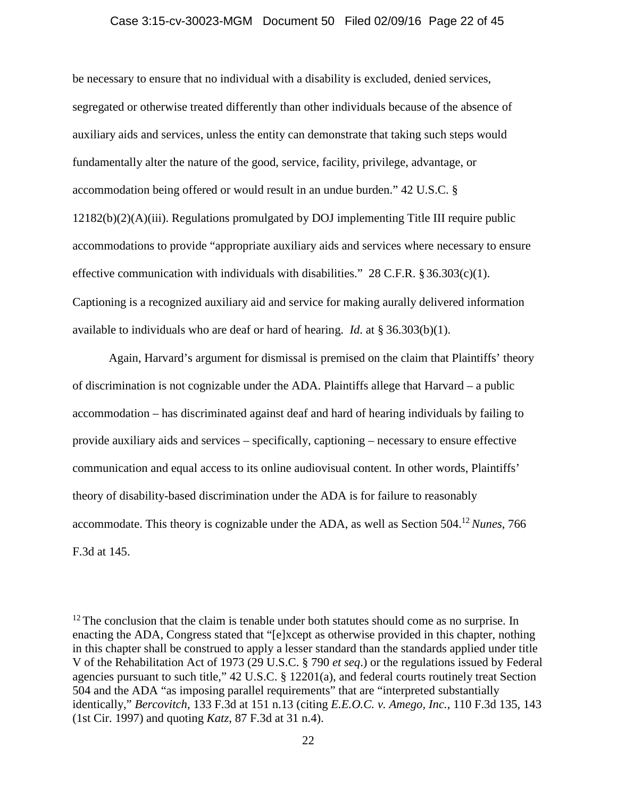### Case 3:15-cv-30023-MGM Document 50 Filed 02/09/16 Page 22 of 45

be necessary to ensure that no individual with a disability is excluded, denied services, segregated or otherwise treated differently than other individuals because of the absence of auxiliary aids and services, unless the entity can demonstrate that taking such steps would fundamentally alter the nature of the good, service, facility, privilege, advantage, or accommodation being offered or would result in an undue burden." 42 U.S.C. § 12182(b)(2)(A)(iii). Regulations promulgated by DOJ implementing Title III require public accommodations to provide "appropriate auxiliary aids and services where necessary to ensure effective communication with individuals with disabilities."  $28$  C.F.R.  $\S 36.303(c)(1)$ . Captioning is a recognized auxiliary aid and service for making aurally delivered information available to individuals who are deaf or hard of hearing. *Id*. at § 36.303(b)(1).

Again, Harvard's argument for dismissal is premised on the claim that Plaintiffs' theory of discrimination is not cognizable under the ADA. Plaintiffs allege that Harvard – a public accommodation – has discriminated against deaf and hard of hearing individuals by failing to provide auxiliary aids and services – specifically, captioning – necessary to ensure effective communication and equal access to its online audiovisual content. In other words, Plaintiffs' theory of disability-based discrimination under the ADA is for failure to reasonably accommodate. This theory is cognizable under the ADA, as well as Section 504.<sup>12</sup>*Nunes*, 766 F.3d at 145.

 $12$  The conclusion that the claim is tenable under both statutes should come as no surprise. In enacting the ADA, Congress stated that "[e]xcept as otherwise provided in this chapter, nothing in this chapter shall be construed to apply a lesser standard than the standards applied under title V of the Rehabilitation Act of 1973 (29 U.S.C. § 790 *et seq*.) or the regulations issued by Federal agencies pursuant to such title," 42 U.S.C. § 12201(a), and federal courts routinely treat Section 504 and the ADA "as imposing parallel requirements" that are "interpreted substantially identically," *Bercovitch*, 133 F.3d at 151 n.13 (citing *E.E.O.C. v. Amego, Inc.*, 110 F.3d 135, 143 (1st Cir. 1997) and quoting *Katz*, 87 F.3d at 31 n.4).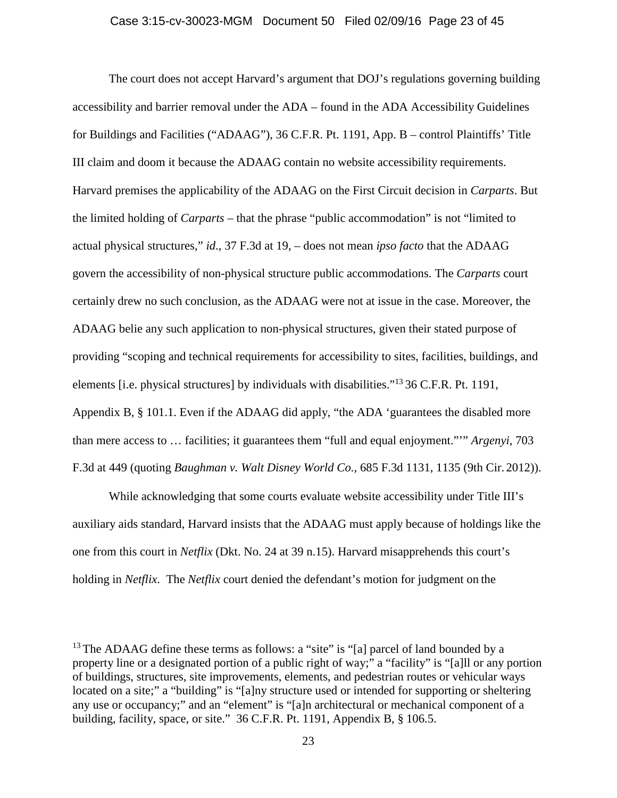The court does not accept Harvard's argument that DOJ's regulations governing building accessibility and barrier removal under the ADA – found in the ADA Accessibility Guidelines for Buildings and Facilities ("ADAAG"), 36 C.F.R. Pt. 1191, App. B – control Plaintiffs' Title III claim and doom it because the ADAAG contain no website accessibility requirements. Harvard premises the applicability of the ADAAG on the First Circuit decision in *Carparts*. But the limited holding of *Carparts* – that the phrase "public accommodation" is not "limited to actual physical structures," *id*., 37 F.3d at 19, – does not mean *ipso facto* that the ADAAG govern the accessibility of non-physical structure public accommodations. The *Carparts* court certainly drew no such conclusion, as the ADAAG were not at issue in the case. Moreover, the ADAAG belie any such application to non-physical structures, given their stated purpose of providing "scoping and technical requirements for accessibility to sites, facilities, buildings, and elements [i.e. physical structures] by individuals with disabilities."<sup>13</sup> 36 C.F.R. Pt. 1191, Appendix B, § 101.1. Even if the ADAAG did apply, "the ADA 'guarantees the disabled more than mere access to … facilities; it guarantees them "full and equal enjoyment."'" *Argenyi*, 703 F.3d at 449 (quoting *Baughman v. Walt Disney World Co.*, 685 F.3d 1131, 1135 (9th Cir. 2012)).

While acknowledging that some courts evaluate website accessibility under Title III's auxiliary aids standard, Harvard insists that the ADAAG must apply because of holdings like the one from this court in *Netflix* (Dkt. No. 24 at 39 n.15). Harvard misapprehends this court's holding in *Netflix*. The *Netflix* court denied the defendant's motion for judgment on the

<sup>&</sup>lt;sup>13</sup> The ADAAG define these terms as follows: a "site" is "[a] parcel of land bounded by a property line or a designated portion of a public right of way;" a "facility" is "[a]ll or any portion of buildings, structures, site improvements, elements, and pedestrian routes or vehicular ways located on a site;" a "building" is "[a]ny structure used or intended for supporting or sheltering any use or occupancy;" and an "element" is "[a]n architectural or mechanical component of a building, facility, space, or site." 36 C.F.R. Pt. 1191, Appendix B, § 106.5.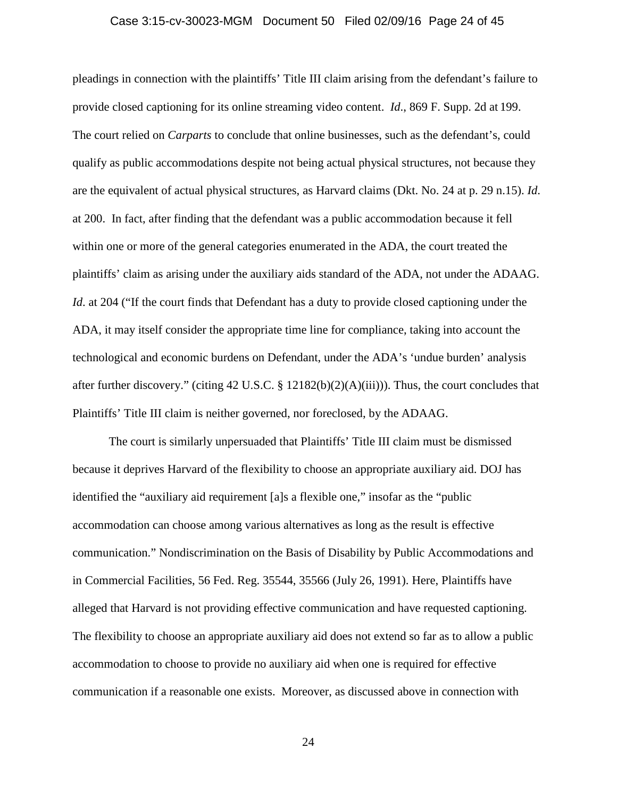## Case 3:15-cv-30023-MGM Document 50 Filed 02/09/16 Page 24 of 45

pleadings in connection with the plaintiffs' Title III claim arising from the defendant's failure to provide closed captioning for its online streaming video content. *Id*., 869 F. Supp. 2d at 199. The court relied on *Carparts* to conclude that online businesses, such as the defendant's, could qualify as public accommodations despite not being actual physical structures, not because they are the equivalent of actual physical structures, as Harvard claims (Dkt. No. 24 at p. 29 n.15). *Id*. at 200. In fact, after finding that the defendant was a public accommodation because it fell within one or more of the general categories enumerated in the ADA, the court treated the plaintiffs' claim as arising under the auxiliary aids standard of the ADA, not under the ADAAG. *Id.* at 204 ("If the court finds that Defendant has a duty to provide closed captioning under the ADA, it may itself consider the appropriate time line for compliance, taking into account the technological and economic burdens on Defendant, under the ADA's 'undue burden' analysis after further discovery." (citing 42 U.S.C. § 12182(b)(2)(A)(iii))). Thus, the court concludes that Plaintiffs' Title III claim is neither governed, nor foreclosed, by the ADAAG.

The court is similarly unpersuaded that Plaintiffs' Title III claim must be dismissed because it deprives Harvard of the flexibility to choose an appropriate auxiliary aid. DOJ has identified the "auxiliary aid requirement [a]s a flexible one," insofar as the "public accommodation can choose among various alternatives as long as the result is effective communication." Nondiscrimination on the Basis of Disability by Public Accommodations and in Commercial Facilities, 56 Fed. Reg. 35544, 35566 (July 26, 1991). Here, Plaintiffs have alleged that Harvard is not providing effective communication and have requested captioning. The flexibility to choose an appropriate auxiliary aid does not extend so far as to allow a public accommodation to choose to provide no auxiliary aid when one is required for effective communication if a reasonable one exists. Moreover, as discussed above in connection with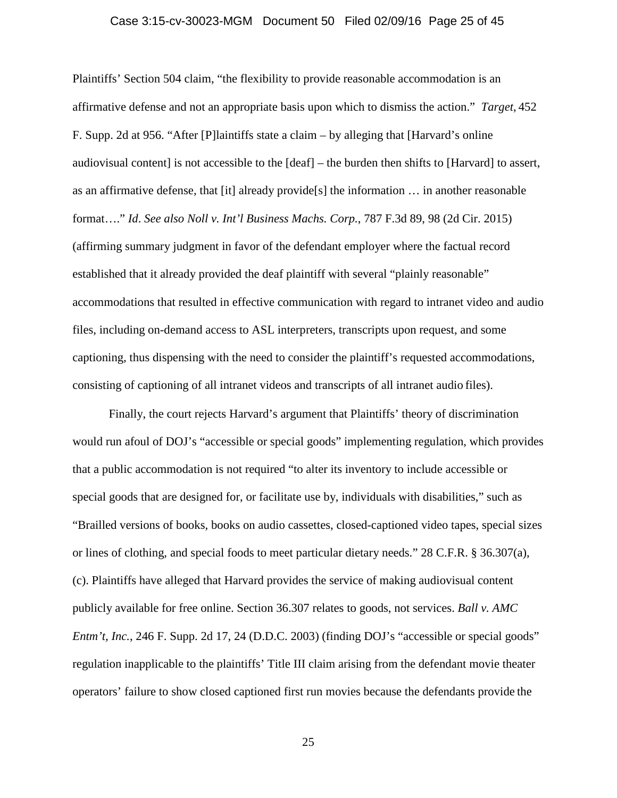#### Case 3:15-cv-30023-MGM Document 50 Filed 02/09/16 Page 25 of 45

Plaintiffs' Section 504 claim, "the flexibility to provide reasonable accommodation is an affirmative defense and not an appropriate basis upon which to dismiss the action." *Target*, 452 F. Supp. 2d at 956. "After [P]laintiffs state a claim – by alleging that [Harvard's online audiovisual content] is not accessible to the [deaf] – the burden then shifts to [Harvard] to assert, as an affirmative defense, that [it] already provide[s] the information … in another reasonable format…." *Id*. *See also Noll v. Int'l Business Machs. Corp.*, 787 F.3d 89, 98 (2d Cir. 2015) (affirming summary judgment in favor of the defendant employer where the factual record established that it already provided the deaf plaintiff with several "plainly reasonable" accommodations that resulted in effective communication with regard to intranet video and audio files, including on-demand access to ASL interpreters, transcripts upon request, and some captioning, thus dispensing with the need to consider the plaintiff's requested accommodations, consisting of captioning of all intranet videos and transcripts of all intranet audio files).

Finally, the court rejects Harvard's argument that Plaintiffs' theory of discrimination would run afoul of DOJ's "accessible or special goods" implementing regulation, which provides that a public accommodation is not required "to alter its inventory to include accessible or special goods that are designed for, or facilitate use by, individuals with disabilities," such as "Brailled versions of books, books on audio cassettes, closed-captioned video tapes, special sizes or lines of clothing, and special foods to meet particular dietary needs." 28 C.F.R. § 36.307(a), (c). Plaintiffs have alleged that Harvard provides the service of making audiovisual content publicly available for free online. Section 36.307 relates to goods, not services. *Ball v. AMC Entm't, Inc.*, 246 F. Supp. 2d 17, 24 (D.D.C. 2003) (finding DOJ's "accessible or special goods" regulation inapplicable to the plaintiffs' Title III claim arising from the defendant movie theater operators' failure to show closed captioned first run movies because the defendants provide the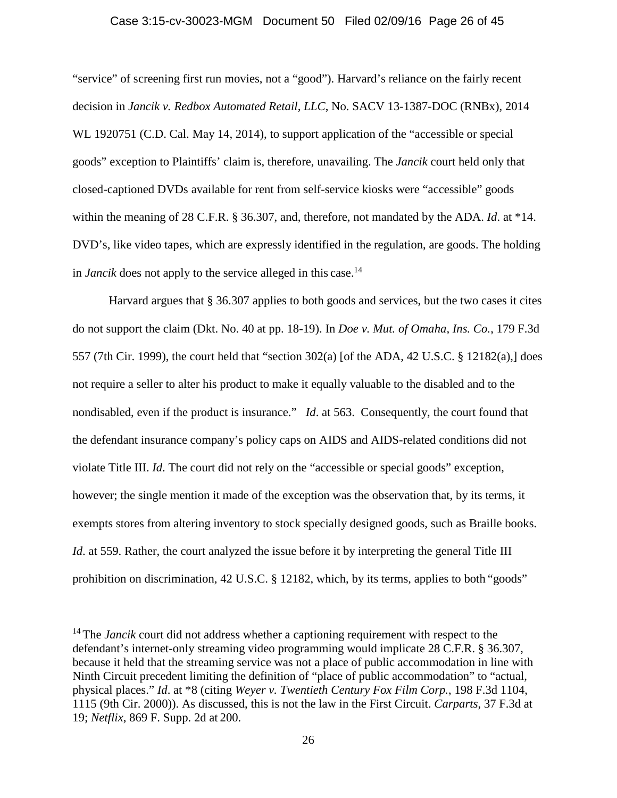## Case 3:15-cv-30023-MGM Document 50 Filed 02/09/16 Page 26 of 45

"service" of screening first run movies, not a "good"). Harvard's reliance on the fairly recent decision in *Jancik v. Redbox Automated Retail, LLC*, No. SACV 13-1387-DOC (RNBx), 2014 WL 1920751 (C.D. Cal. May 14, 2014), to support application of the "accessible or special goods" exception to Plaintiffs' claim is, therefore, unavailing. The *Jancik* court held only that closed-captioned DVDs available for rent from self-service kiosks were "accessible" goods within the meaning of 28 C.F.R. § 36.307, and, therefore, not mandated by the ADA. *Id*. at \*14. DVD's, like video tapes, which are expressly identified in the regulation, are goods. The holding in *Jancik* does not apply to the service alleged in this case.<sup>14</sup>

Harvard argues that § 36.307 applies to both goods and services, but the two cases it cites do not support the claim (Dkt. No. 40 at pp. 18-19). In *Doe v. Mut. of Omaha, Ins. Co.*, 179 F.3d 557 (7th Cir. 1999), the court held that "section 302(a) [of the ADA, 42 U.S.C. § 12182(a),] does not require a seller to alter his product to make it equally valuable to the disabled and to the nondisabled, even if the product is insurance." *Id*. at 563. Consequently, the court found that the defendant insurance company's policy caps on AIDS and AIDS-related conditions did not violate Title III. *Id*. The court did not rely on the "accessible or special goods" exception, however; the single mention it made of the exception was the observation that, by its terms, it exempts stores from altering inventory to stock specially designed goods, such as Braille books. *Id.* at 559. Rather, the court analyzed the issue before it by interpreting the general Title III prohibition on discrimination, 42 U.S.C. § 12182, which, by its terms, applies to both "goods"

<sup>&</sup>lt;sup>14</sup> The *Jancik* court did not address whether a captioning requirement with respect to the defendant's internet-only streaming video programming would implicate 28 C.F.R. § 36.307, because it held that the streaming service was not a place of public accommodation in line with Ninth Circuit precedent limiting the definition of "place of public accommodation" to "actual, physical places." *Id*. at \*8 (citing *Weyer v. Twentieth Century Fox Film Corp.*, 198 F.3d 1104, 1115 (9th Cir. 2000)). As discussed, this is not the law in the First Circuit. *Carparts*, 37 F.3d at 19; *Netflix*, 869 F. Supp. 2d at 200.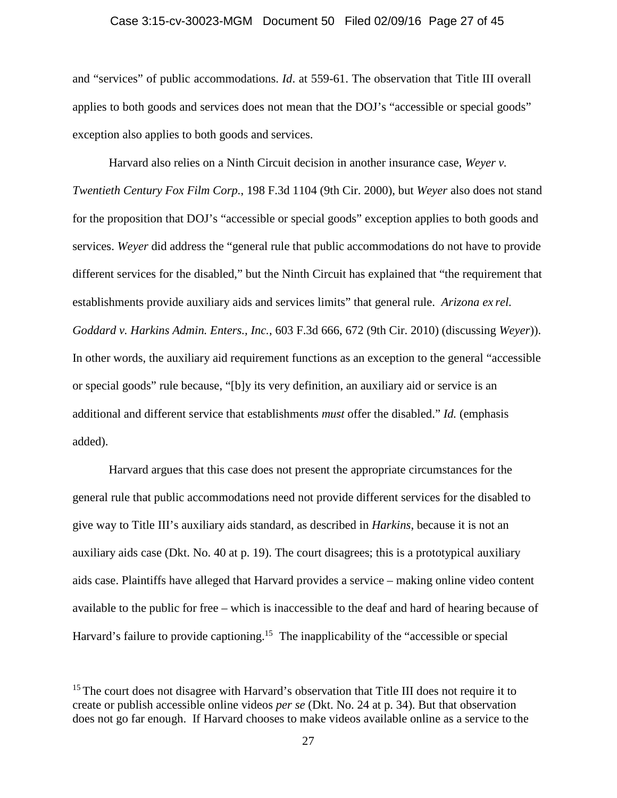## Case 3:15-cv-30023-MGM Document 50 Filed 02/09/16 Page 27 of 45

and "services" of public accommodations. *Id*. at 559-61. The observation that Title III overall applies to both goods and services does not mean that the DOJ's "accessible or special goods" exception also applies to both goods and services.

Harvard also relies on a Ninth Circuit decision in another insurance case, *Weyer v. Twentieth Century Fox Film Corp.*, 198 F.3d 1104 (9th Cir. 2000), but *Weyer* also does not stand for the proposition that DOJ's "accessible or special goods" exception applies to both goods and services. *Weyer* did address the "general rule that public accommodations do not have to provide different services for the disabled," but the Ninth Circuit has explained that "the requirement that establishments provide auxiliary aids and services limits" that general rule. *Arizona ex rel. Goddard v. Harkins Admin. Enters., Inc.*, 603 F.3d 666, 672 (9th Cir. 2010) (discussing *Weyer*)). In other words, the auxiliary aid requirement functions as an exception to the general "accessible or special goods" rule because, "[b]y its very definition, an auxiliary aid or service is an additional and different service that establishments *must* offer the disabled." *Id.* (emphasis added).

Harvard argues that this case does not present the appropriate circumstances for the general rule that public accommodations need not provide different services for the disabled to give way to Title III's auxiliary aids standard, as described in *Harkins*, because it is not an auxiliary aids case (Dkt. No. 40 at p. 19). The court disagrees; this is a prototypical auxiliary aids case. Plaintiffs have alleged that Harvard provides a service – making online video content available to the public for free – which is inaccessible to the deaf and hard of hearing because of Harvard's failure to provide captioning.<sup>15</sup> The inapplicability of the "accessible or special

<sup>&</sup>lt;sup>15</sup> The court does not disagree with Harvard's observation that Title III does not require it to create or publish accessible online videos *per se* (Dkt. No. 24 at p. 34). But that observation does not go far enough. If Harvard chooses to make videos available online as a service to the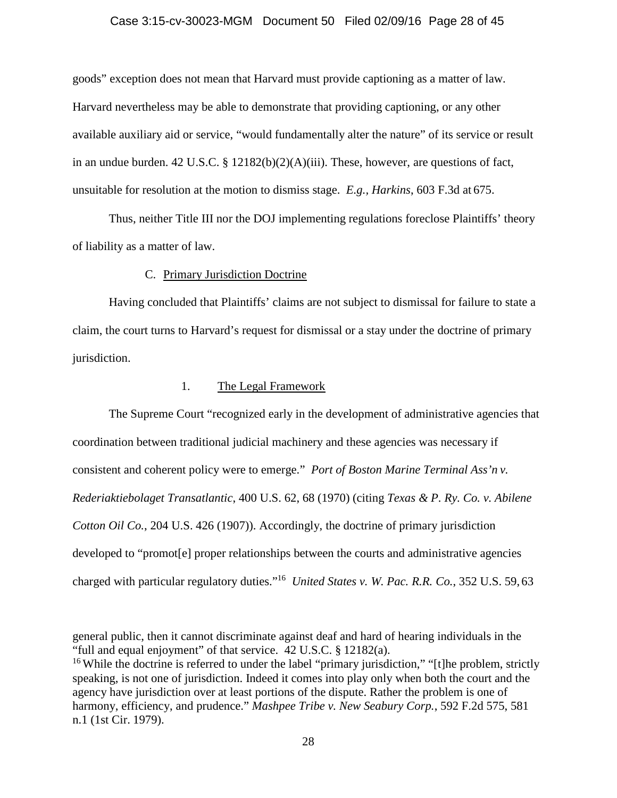#### Case 3:15-cv-30023-MGM Document 50 Filed 02/09/16 Page 28 of 45

goods" exception does not mean that Harvard must provide captioning as a matter of law. Harvard nevertheless may be able to demonstrate that providing captioning, or any other available auxiliary aid or service, "would fundamentally alter the nature" of its service or result in an undue burden. 42 U.S.C. § 12182(b)(2)(A)(iii). These, however, are questions of fact, unsuitable for resolution at the motion to dismiss stage. *E.g., Harkins*, 603 F.3d at 675.

Thus, neither Title III nor the DOJ implementing regulations foreclose Plaintiffs' theory of liability as a matter of law.

## C. Primary Jurisdiction Doctrine

Having concluded that Plaintiffs' claims are not subject to dismissal for failure to state a claim, the court turns to Harvard's request for dismissal or a stay under the doctrine of primary jurisdiction.

## 1. The Legal Framework

The Supreme Court "recognized early in the development of administrative agencies that coordination between traditional judicial machinery and these agencies was necessary if consistent and coherent policy were to emerge." *Port of Boston Marine Terminal Ass'n v. Rederiaktiebolaget Transatlantic*, 400 U.S. 62, 68 (1970) (citing *Texas & P. Ry. Co. v. Abilene Cotton Oil Co.*, 204 U.S. 426 (1907)). Accordingly, the doctrine of primary jurisdiction developed to "promot[e] proper relationships between the courts and administrative agencies charged with particular regulatory duties."<sup>16</sup> *United States v. W. Pac. R.R. Co.*, 352 U.S. 59, 63

general public, then it cannot discriminate against deaf and hard of hearing individuals in the "full and equal enjoyment" of that service. 42 U.S.C. § 12182(a).

<sup>&</sup>lt;sup>16</sup> While the doctrine is referred to under the label "primary jurisdiction," "[t]he problem, strictly speaking, is not one of jurisdiction. Indeed it comes into play only when both the court and the agency have jurisdiction over at least portions of the dispute. Rather the problem is one of harmony, efficiency, and prudence." *Mashpee Tribe v. New Seabury Corp.*, 592 F.2d 575, 581 n.1 (1st Cir. 1979).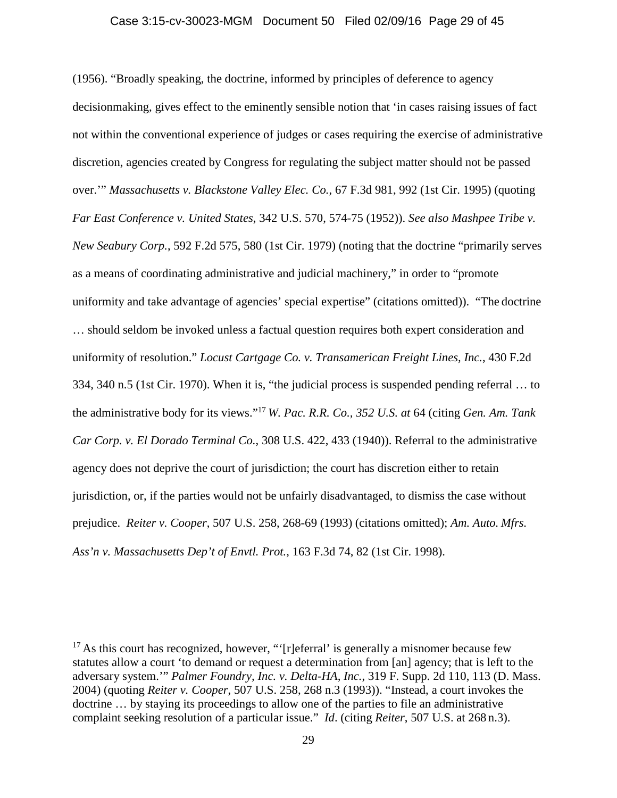## Case 3:15-cv-30023-MGM Document 50 Filed 02/09/16 Page 29 of 45

(1956). "Broadly speaking, the doctrine, informed by principles of deference to agency decisionmaking, gives effect to the eminently sensible notion that 'in cases raising issues of fact not within the conventional experience of judges or cases requiring the exercise of administrative discretion, agencies created by Congress for regulating the subject matter should not be passed over.'" *Massachusetts v. Blackstone Valley Elec. Co.*, 67 F.3d 981, 992 (1st Cir. 1995) (quoting *Far East Conference v. United States*, 342 U.S. 570, 574-75 (1952)). *See also Mashpee Tribe v. New Seabury Corp.*, 592 F.2d 575, 580 (1st Cir. 1979) (noting that the doctrine "primarily serves as a means of coordinating administrative and judicial machinery," in order to "promote uniformity and take advantage of agencies' special expertise" (citations omitted)). "The doctrine … should seldom be invoked unless a factual question requires both expert consideration and uniformity of resolution." *Locust Cartgage Co. v. Transamerican Freight Lines, Inc.*, 430 F.2d 334, 340 n.5 (1st Cir. 1970). When it is, "the judicial process is suspended pending referral … to the administrative body for its views."<sup>17</sup> *W. Pac. R.R. Co., 352 U.S. at* 64 (citing *Gen. Am. Tank Car Corp. v. El Dorado Terminal Co.*, 308 U.S. 422, 433 (1940)). Referral to the administrative agency does not deprive the court of jurisdiction; the court has discretion either to retain jurisdiction, or, if the parties would not be unfairly disadvantaged, to dismiss the case without prejudice. *Reiter v. Cooper*, 507 U.S. 258, 268-69 (1993) (citations omitted); *Am. Auto. Mfrs.*

*Ass'n v. Massachusetts Dep't of Envtl. Prot.*, 163 F.3d 74, 82 (1st Cir. 1998).

 $17$  As this court has recognized, however, "'[r]eferral' is generally a misnomer because few statutes allow a court 'to demand or request a determination from [an] agency; that is left to the adversary system.'" *Palmer Foundry, Inc. v. Delta-HA, Inc.*, 319 F. Supp. 2d 110, 113 (D. Mass. 2004) (quoting *Reiter v. Cooper*, 507 U.S. 258, 268 n.3 (1993)). "Instead, a court invokes the doctrine … by staying its proceedings to allow one of the parties to file an administrative complaint seeking resolution of a particular issue." *Id*. (citing *Reiter*, 507 U.S. at 268 n.3).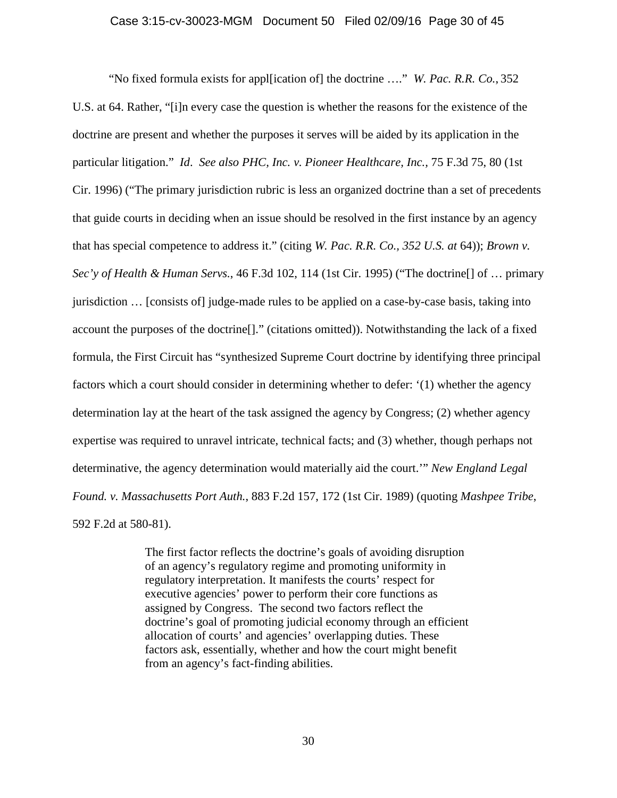#### Case 3:15-cv-30023-MGM Document 50 Filed 02/09/16 Page 30 of 45

"No fixed formula exists for appl[ication of] the doctrine …." *W. Pac. R.R. Co.*, 352 U.S. at 64. Rather, "[i]n every case the question is whether the reasons for the existence of the doctrine are present and whether the purposes it serves will be aided by its application in the particular litigation." *Id*. *See also PHC, Inc. v. Pioneer Healthcare, Inc.,* 75 F.3d 75, 80 (1st Cir. 1996) ("The primary jurisdiction rubric is less an organized doctrine than a set of precedents that guide courts in deciding when an issue should be resolved in the first instance by an agency that has special competence to address it." (citing *W. Pac. R.R. Co., 352 U.S. at* 64)); *Brown v. Sec'y of Health & Human Servs.*, 46 F.3d 102, 114 (1st Cir. 1995) ("The doctrine[] of … primary jurisdiction … [consists of] judge-made rules to be applied on a case-by-case basis, taking into account the purposes of the doctrine[]." (citations omitted)). Notwithstanding the lack of a fixed formula, the First Circuit has "synthesized Supreme Court doctrine by identifying three principal factors which a court should consider in determining whether to defer: '(1) whether the agency determination lay at the heart of the task assigned the agency by Congress; (2) whether agency expertise was required to unravel intricate, technical facts; and (3) whether, though perhaps not determinative, the agency determination would materially aid the court.'" *New England Legal Found. v. Massachusetts Port Auth.*, 883 F.2d 157, 172 (1st Cir. 1989) (quoting *Mashpee Tribe*, 592 F.2d at 580-81).

> The first factor reflects the doctrine's goals of avoiding disruption of an agency's regulatory regime and promoting uniformity in regulatory interpretation. It manifests the courts' respect for executive agencies' power to perform their core functions as assigned by Congress. The second two factors reflect the doctrine's goal of promoting judicial economy through an efficient allocation of courts' and agencies' overlapping duties. These factors ask, essentially, whether and how the court might benefit from an agency's fact-finding abilities.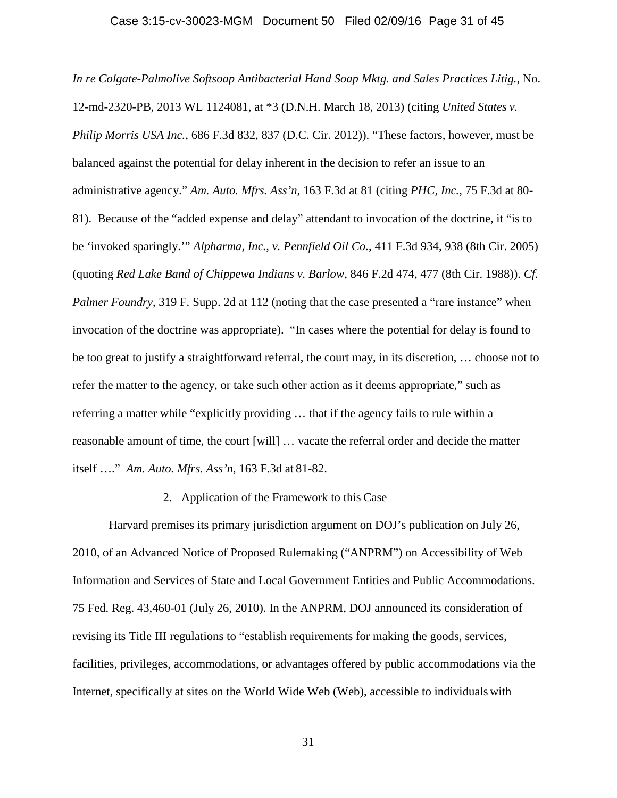#### Case 3:15-cv-30023-MGM Document 50 Filed 02/09/16 Page 31 of 45

*In re Colgate-Palmolive Softsoap Antibacterial Hand Soap Mktg. and Sales Practices Litig.*, No. 12-md-2320-PB, 2013 WL 1124081, at \*3 (D.N.H. March 18, 2013) (citing *United States v. Philip Morris USA Inc.*, 686 F.3d 832, 837 (D.C. Cir. 2012)). "These factors, however, must be balanced against the potential for delay inherent in the decision to refer an issue to an administrative agency." *Am. Auto. Mfrs. Ass'n*, 163 F.3d at 81 (citing *PHC, Inc.,* 75 F.3d at 80- 81). Because of the "added expense and delay" attendant to invocation of the doctrine, it "is to be 'invoked sparingly.'" *Alpharma, Inc., v. Pennfield Oil Co.*, 411 F.3d 934, 938 (8th Cir. 2005) (quoting *Red Lake Band of Chippewa Indians v. Barlow*, 846 F.2d 474, 477 (8th Cir. 1988)). *Cf. Palmer Foundry*, 319 F. Supp. 2d at 112 (noting that the case presented a "rare instance" when invocation of the doctrine was appropriate). "In cases where the potential for delay is found to be too great to justify a straightforward referral, the court may, in its discretion, … choose not to refer the matter to the agency, or take such other action as it deems appropriate," such as referring a matter while "explicitly providing … that if the agency fails to rule within a reasonable amount of time, the court [will] … vacate the referral order and decide the matter itself …." *Am. Auto. Mfrs. Ass'n*, 163 F.3d at 81-82.

#### 2. Application of the Framework to this Case

Harvard premises its primary jurisdiction argument on DOJ's publication on July 26, 2010, of an Advanced Notice of Proposed Rulemaking ("ANPRM") on Accessibility of Web Information and Services of State and Local Government Entities and Public Accommodations. 75 Fed. Reg. 43,460-01 (July 26, 2010). In the ANPRM, DOJ announced its consideration of revising its Title III regulations to "establish requirements for making the goods, services, facilities, privileges, accommodations, or advantages offered by public accommodations via the Internet, specifically at sites on the World Wide Web (Web), accessible to individuals with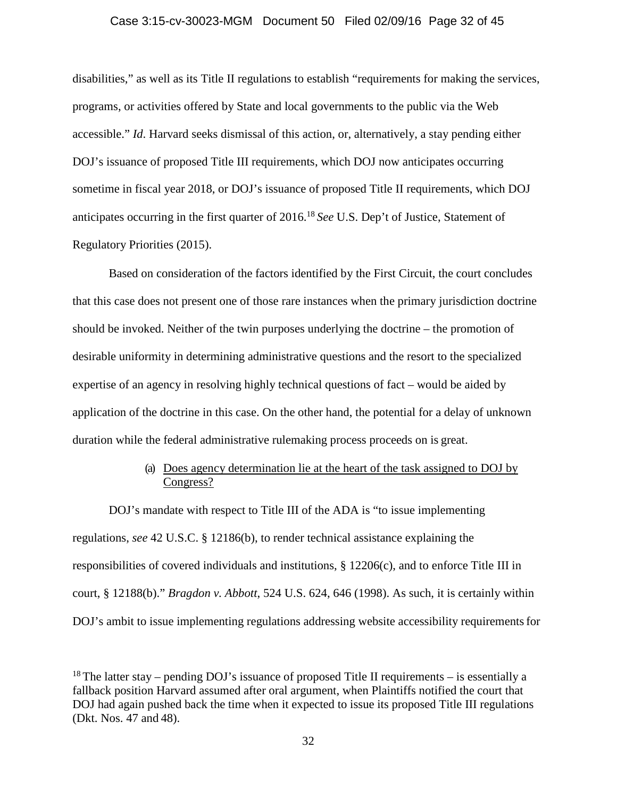## Case 3:15-cv-30023-MGM Document 50 Filed 02/09/16 Page 32 of 45

disabilities," as well as its Title II regulations to establish "requirements for making the services, programs, or activities offered by State and local governments to the public via the Web accessible." *Id*. Harvard seeks dismissal of this action, or, alternatively, a stay pending either DOJ's issuance of proposed Title III requirements, which DOJ now anticipates occurring sometime in fiscal year 2018, or DOJ's issuance of proposed Title II requirements, which DOJ anticipates occurring in the first quarter of 2016.<sup>18</sup> *See* U.S. Dep't of Justice, Statement of Regulatory Priorities (2015).

Based on consideration of the factors identified by the First Circuit, the court concludes that this case does not present one of those rare instances when the primary jurisdiction doctrine should be invoked. Neither of the twin purposes underlying the doctrine – the promotion of desirable uniformity in determining administrative questions and the resort to the specialized expertise of an agency in resolving highly technical questions of fact – would be aided by application of the doctrine in this case. On the other hand, the potential for a delay of unknown duration while the federal administrative rulemaking process proceeds on is great.

# (a) Does agency determination lie at the heart of the task assigned to DOJ by Congress?

DOJ's mandate with respect to Title III of the ADA is "to issue implementing regulations, *see* 42 U.S.C. § 12186(b), to render technical assistance explaining the responsibilities of covered individuals and institutions,  $\S 12206(c)$ , and to enforce Title III in court, § 12188(b)." *Bragdon v. Abbott*, 524 U.S. 624, 646 (1998). As such, it is certainly within DOJ's ambit to issue implementing regulations addressing website accessibility requirements for

<sup>&</sup>lt;sup>18</sup> The latter stay – pending DOJ's issuance of proposed Title II requirements – is essentially a fallback position Harvard assumed after oral argument, when Plaintiffs notified the court that DOJ had again pushed back the time when it expected to issue its proposed Title III regulations (Dkt. Nos. 47 and 48).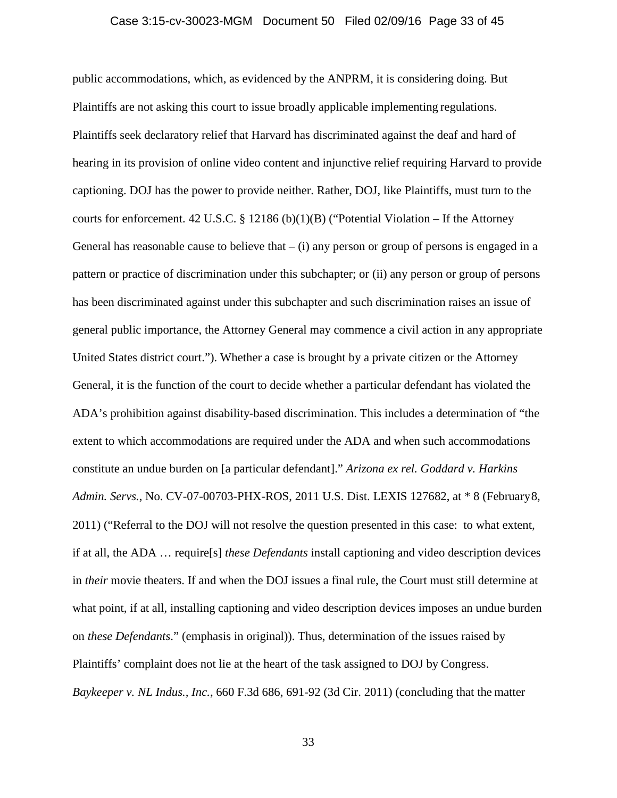### Case 3:15-cv-30023-MGM Document 50 Filed 02/09/16 Page 33 of 45

public accommodations, which, as evidenced by the ANPRM, it is considering doing. But Plaintiffs are not asking this court to issue broadly applicable implementing regulations. Plaintiffs seek declaratory relief that Harvard has discriminated against the deaf and hard of hearing in its provision of online video content and injunctive relief requiring Harvard to provide captioning. DOJ has the power to provide neither. Rather, DOJ, like Plaintiffs, must turn to the courts for enforcement. 42 U.S.C. § 12186 (b)(1)(B) ("Potential Violation – If the Attorney General has reasonable cause to believe that  $-$  (i) any person or group of persons is engaged in a pattern or practice of discrimination under this subchapter; or (ii) any person or group of persons has been discriminated against under this subchapter and such discrimination raises an issue of general public importance, the Attorney General may commence a civil action in any appropriate United States district court."). Whether a case is brought by a private citizen or the Attorney General, it is the function of the court to decide whether a particular defendant has violated the ADA's prohibition against disability-based discrimination. This includes a determination of "the extent to which accommodations are required under the ADA and when such accommodations constitute an undue burden on [a particular defendant]." *Arizona ex rel. Goddard v. Harkins Admin. Servs.*, No. CV-07-00703-PHX-ROS, 2011 U.S. Dist. LEXIS 127682, at \* 8 (February8, 2011) ("Referral to the DOJ will not resolve the question presented in this case: to what extent, if at all, the ADA … require[s] *these Defendants* install captioning and video description devices in *their* movie theaters. If and when the DOJ issues a final rule, the Court must still determine at what point, if at all, installing captioning and video description devices imposes an undue burden on *these Defendants*." (emphasis in original)). Thus, determination of the issues raised by Plaintiffs' complaint does not lie at the heart of the task assigned to DOJ by Congress. *Baykeeper v. NL Indus., Inc.*, 660 F.3d 686, 691-92 (3d Cir. 2011) (concluding that the matter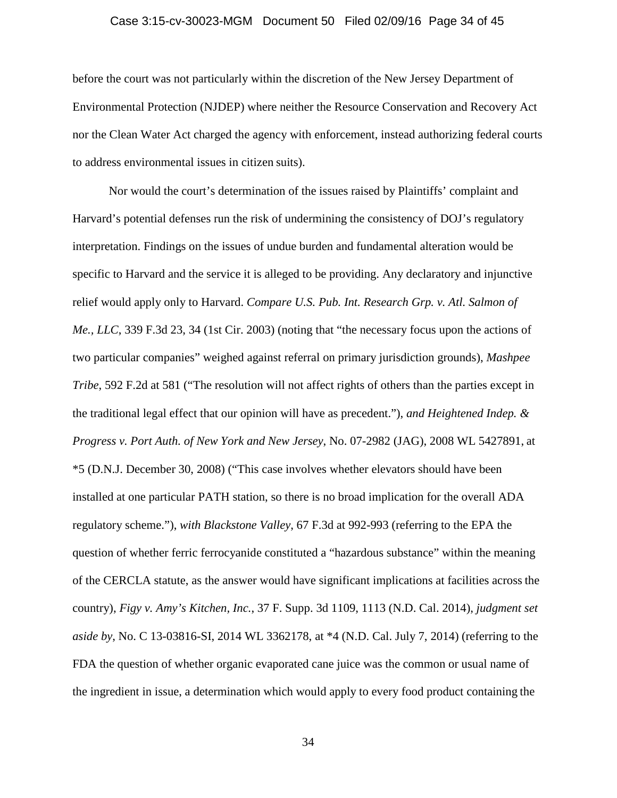## Case 3:15-cv-30023-MGM Document 50 Filed 02/09/16 Page 34 of 45

before the court was not particularly within the discretion of the New Jersey Department of Environmental Protection (NJDEP) where neither the Resource Conservation and Recovery Act nor the Clean Water Act charged the agency with enforcement, instead authorizing federal courts to address environmental issues in citizen suits).

Nor would the court's determination of the issues raised by Plaintiffs' complaint and Harvard's potential defenses run the risk of undermining the consistency of DOJ's regulatory interpretation. Findings on the issues of undue burden and fundamental alteration would be specific to Harvard and the service it is alleged to be providing. Any declaratory and injunctive relief would apply only to Harvard. *Compare U.S. Pub. Int. Research Grp. v. Atl. Salmon of Me., LLC*, 339 F.3d 23, 34 (1st Cir. 2003) (noting that "the necessary focus upon the actions of two particular companies" weighed against referral on primary jurisdiction grounds), *Mashpee Tribe*, 592 F.2d at 581 ("The resolution will not affect rights of others than the parties except in the traditional legal effect that our opinion will have as precedent."), *and Heightened Indep. & Progress v. Port Auth. of New York and New Jersey*, No. 07-2982 (JAG), 2008 WL 5427891, at \*5 (D.N.J. December 30, 2008) ("This case involves whether elevators should have been installed at one particular PATH station, so there is no broad implication for the overall ADA regulatory scheme."), *with Blackstone Valley*, 67 F.3d at 992-993 (referring to the EPA the question of whether ferric ferrocyanide constituted a "hazardous substance" within the meaning of the CERCLA statute, as the answer would have significant implications at facilities across the country), *Figy v. Amy's Kitchen, Inc.*, 37 F. Supp. 3d 1109, 1113 (N.D. Cal. 2014), *judgment set aside by*, No. C 13-03816-SI, 2014 WL 3362178, at \*4 (N.D. Cal. July 7, 2014) (referring to the FDA the question of whether organic evaporated cane juice was the common or usual name of the ingredient in issue, a determination which would apply to every food product containing the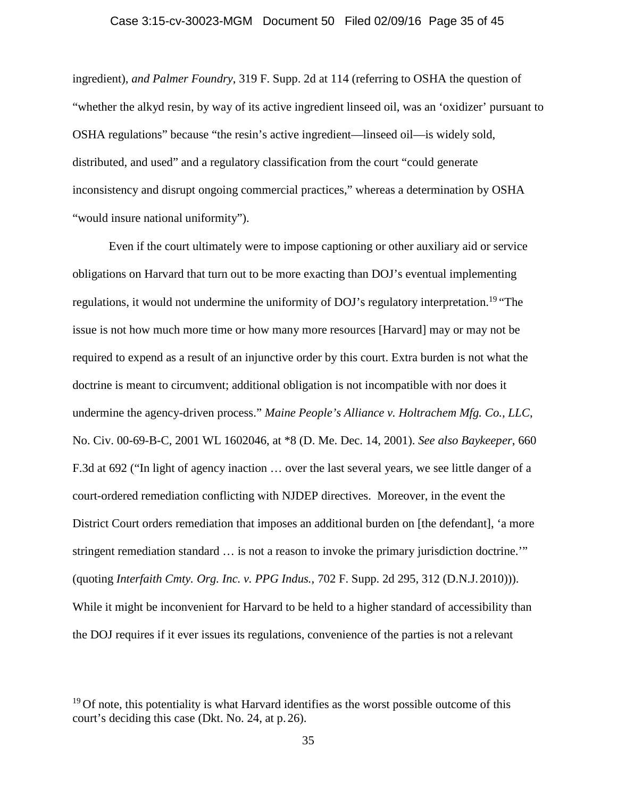## Case 3:15-cv-30023-MGM Document 50 Filed 02/09/16 Page 35 of 45

ingredient), *and Palmer Foundry*, 319 F. Supp. 2d at 114 (referring to OSHA the question of "whether the alkyd resin, by way of its active ingredient linseed oil, was an 'oxidizer' pursuant to OSHA regulations" because "the resin's active ingredient—linseed oil—is widely sold, distributed, and used" and a regulatory classification from the court "could generate inconsistency and disrupt ongoing commercial practices," whereas a determination by OSHA "would insure national uniformity").

Even if the court ultimately were to impose captioning or other auxiliary aid or service obligations on Harvard that turn out to be more exacting than DOJ's eventual implementing regulations, it would not undermine the uniformity of DOJ's regulatory interpretation.<sup>19</sup> "The issue is not how much more time or how many more resources [Harvard] may or may not be required to expend as a result of an injunctive order by this court. Extra burden is not what the doctrine is meant to circumvent; additional obligation is not incompatible with nor does it undermine the agency-driven process." *Maine People's Alliance v. Holtrachem Mfg. Co., LLC*, No. Civ. 00-69-B-C, 2001 WL 1602046, at \*8 (D. Me. Dec. 14, 2001). *See also Baykeeper*, 660 F.3d at 692 ("In light of agency inaction … over the last several years, we see little danger of a court-ordered remediation conflicting with NJDEP directives. Moreover, in the event the District Court orders remediation that imposes an additional burden on [the defendant], 'a more stringent remediation standard … is not a reason to invoke the primary jurisdiction doctrine.'" (quoting *Interfaith Cmty. Org. Inc. v. PPG Indus.*, 702 F. Supp. 2d 295, 312 (D.N.J.2010))). While it might be inconvenient for Harvard to be held to a higher standard of accessibility than the DOJ requires if it ever issues its regulations, convenience of the parties is not a relevant

 $19$  Of note, this potentiality is what Harvard identifies as the worst possible outcome of this court's deciding this case (Dkt. No. 24, at p. 26).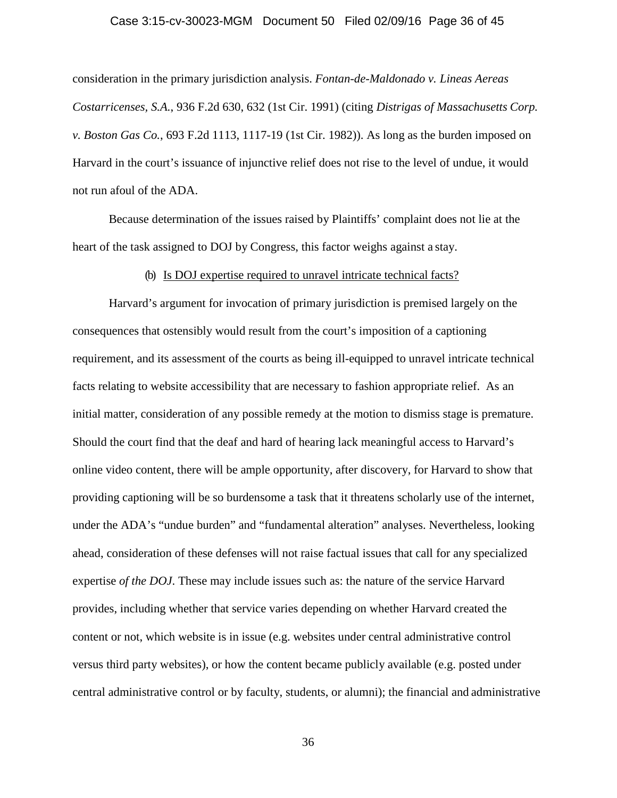#### Case 3:15-cv-30023-MGM Document 50 Filed 02/09/16 Page 36 of 45

consideration in the primary jurisdiction analysis. *Fontan-de-Maldonado v. Lineas Aereas Costarricenses, S.A.*, 936 F.2d 630, 632 (1st Cir. 1991) (citing *Distrigas of Massachusetts Corp. v. Boston Gas Co.*, 693 F.2d 1113, 1117-19 (1st Cir. 1982)). As long as the burden imposed on Harvard in the court's issuance of injunctive relief does not rise to the level of undue, it would not run afoul of the ADA.

Because determination of the issues raised by Plaintiffs' complaint does not lie at the heart of the task assigned to DOJ by Congress, this factor weighs against a stay.

## (b) Is DOJ expertise required to unravel intricate technical facts?

Harvard's argument for invocation of primary jurisdiction is premised largely on the consequences that ostensibly would result from the court's imposition of a captioning requirement, and its assessment of the courts as being ill-equipped to unravel intricate technical facts relating to website accessibility that are necessary to fashion appropriate relief. As an initial matter, consideration of any possible remedy at the motion to dismiss stage is premature. Should the court find that the deaf and hard of hearing lack meaningful access to Harvard's online video content, there will be ample opportunity, after discovery, for Harvard to show that providing captioning will be so burdensome a task that it threatens scholarly use of the internet, under the ADA's "undue burden" and "fundamental alteration" analyses. Nevertheless, looking ahead, consideration of these defenses will not raise factual issues that call for any specialized expertise *of the DOJ*. These may include issues such as: the nature of the service Harvard provides, including whether that service varies depending on whether Harvard created the content or not, which website is in issue (e.g. websites under central administrative control versus third party websites), or how the content became publicly available (e.g. posted under central administrative control or by faculty, students, or alumni); the financial and administrative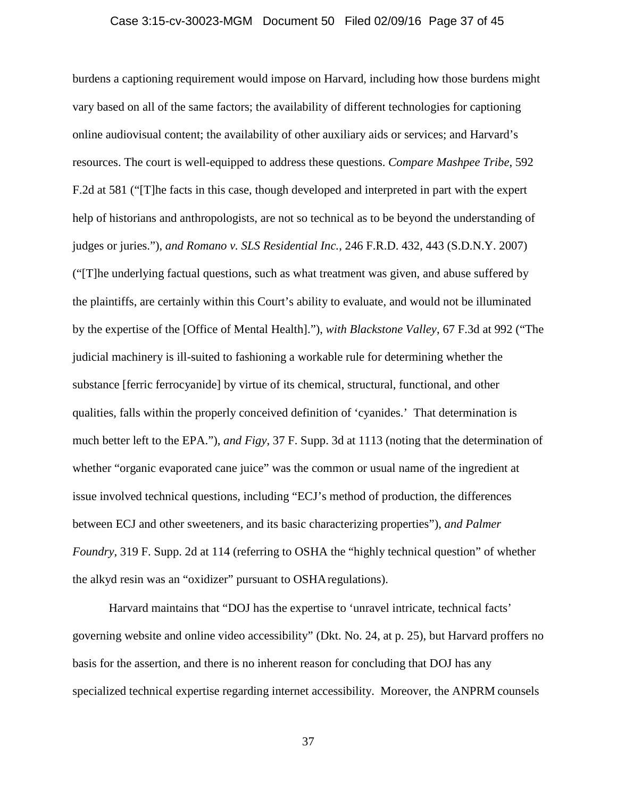## Case 3:15-cv-30023-MGM Document 50 Filed 02/09/16 Page 37 of 45

burdens a captioning requirement would impose on Harvard, including how those burdens might vary based on all of the same factors; the availability of different technologies for captioning online audiovisual content; the availability of other auxiliary aids or services; and Harvard's resources. The court is well-equipped to address these questions. *Compare Mashpee Tribe*, 592 F.2d at 581 ("[T]he facts in this case, though developed and interpreted in part with the expert help of historians and anthropologists, are not so technical as to be beyond the understanding of judges or juries."), *and Romano v. SLS Residential Inc.*, 246 F.R.D. 432, 443 (S.D.N.Y. 2007) ("[T]he underlying factual questions, such as what treatment was given, and abuse suffered by the plaintiffs, are certainly within this Court's ability to evaluate, and would not be illuminated by the expertise of the [Office of Mental Health]."), *with Blackstone Valley*, 67 F.3d at 992 ("The judicial machinery is ill-suited to fashioning a workable rule for determining whether the substance [ferric ferrocyanide] by virtue of its chemical, structural, functional, and other qualities, falls within the properly conceived definition of 'cyanides.' That determination is much better left to the EPA."), *and Figy*, 37 F. Supp. 3d at 1113 (noting that the determination of whether "organic evaporated cane juice" was the common or usual name of the ingredient at issue involved technical questions, including "ECJ's method of production, the differences between ECJ and other sweeteners, and its basic characterizing properties"), *and Palmer Foundry*, 319 F. Supp. 2d at 114 (referring to OSHA the "highly technical question" of whether the alkyd resin was an "oxidizer" pursuant to OSHAregulations).

Harvard maintains that "DOJ has the expertise to 'unravel intricate, technical facts' governing website and online video accessibility" (Dkt. No. 24, at p. 25), but Harvard proffers no basis for the assertion, and there is no inherent reason for concluding that DOJ has any specialized technical expertise regarding internet accessibility. Moreover, the ANPRM counsels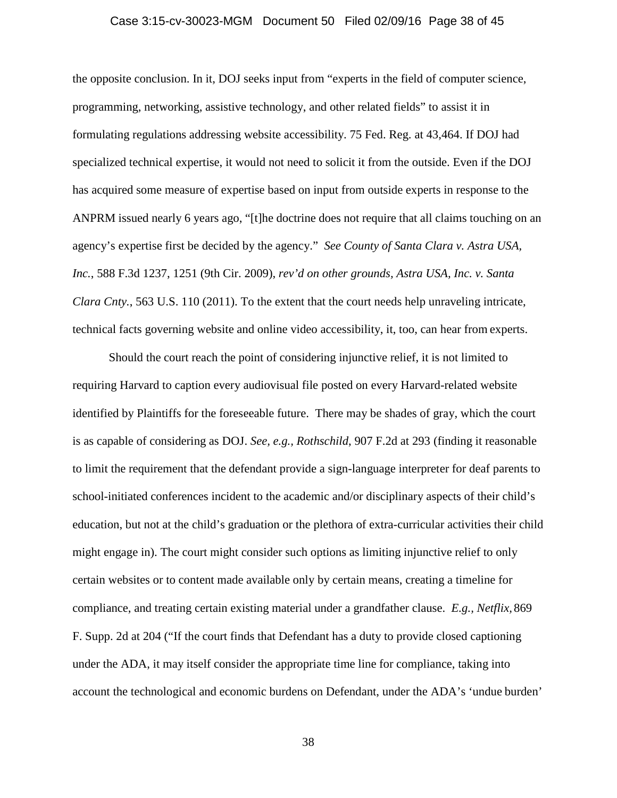## Case 3:15-cv-30023-MGM Document 50 Filed 02/09/16 Page 38 of 45

the opposite conclusion. In it, DOJ seeks input from "experts in the field of computer science, programming, networking, assistive technology, and other related fields" to assist it in formulating regulations addressing website accessibility. 75 Fed. Reg. at 43,464. If DOJ had specialized technical expertise, it would not need to solicit it from the outside. Even if the DOJ has acquired some measure of expertise based on input from outside experts in response to the ANPRM issued nearly 6 years ago, "[t]he doctrine does not require that all claims touching on an agency's expertise first be decided by the agency." *See County of Santa Clara v. Astra USA, Inc.*, 588 F.3d 1237, 1251 (9th Cir. 2009), *rev'd on other grounds, Astra USA, Inc. v. Santa Clara Cnty.*, 563 U.S. 110 (2011). To the extent that the court needs help unraveling intricate, technical facts governing website and online video accessibility, it, too, can hear from experts.

Should the court reach the point of considering injunctive relief, it is not limited to requiring Harvard to caption every audiovisual file posted on every Harvard-related website identified by Plaintiffs for the foreseeable future. There may be shades of gray, which the court is as capable of considering as DOJ. *See, e.g., Rothschild*, 907 F.2d at 293 (finding it reasonable to limit the requirement that the defendant provide a sign-language interpreter for deaf parents to school-initiated conferences incident to the academic and/or disciplinary aspects of their child's education, but not at the child's graduation or the plethora of extra-curricular activities their child might engage in). The court might consider such options as limiting injunctive relief to only certain websites or to content made available only by certain means, creating a timeline for compliance, and treating certain existing material under a grandfather clause. *E.g., Netflix,* 869 F. Supp. 2d at 204 ("If the court finds that Defendant has a duty to provide closed captioning under the ADA, it may itself consider the appropriate time line for compliance, taking into account the technological and economic burdens on Defendant, under the ADA's 'undue burden'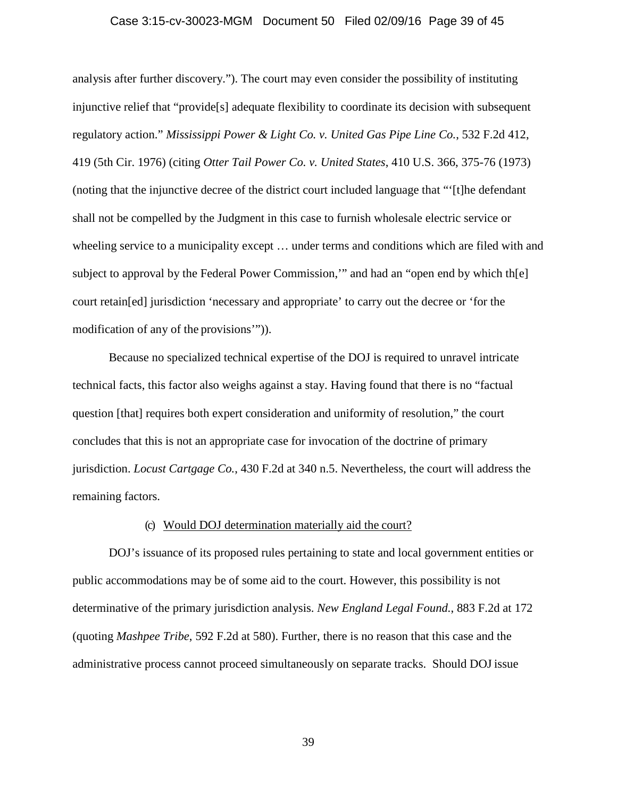## Case 3:15-cv-30023-MGM Document 50 Filed 02/09/16 Page 39 of 45

analysis after further discovery."). The court may even consider the possibility of instituting injunctive relief that "provide[s] adequate flexibility to coordinate its decision with subsequent regulatory action." *Mississippi Power & Light Co. v. United Gas Pipe Line Co.*, 532 F.2d 412, 419 (5th Cir. 1976) (citing *Otter Tail Power Co. v. United States*, 410 U.S. 366, 375-76 (1973) (noting that the injunctive decree of the district court included language that "'[t]he defendant shall not be compelled by the Judgment in this case to furnish wholesale electric service or wheeling service to a municipality except … under terms and conditions which are filed with and subject to approval by the Federal Power Commission,'" and had an "open end by which th[e] court retain[ed] jurisdiction 'necessary and appropriate' to carry out the decree or 'for the modification of any of the provisions'")).

Because no specialized technical expertise of the DOJ is required to unravel intricate technical facts, this factor also weighs against a stay. Having found that there is no "factual question [that] requires both expert consideration and uniformity of resolution," the court concludes that this is not an appropriate case for invocation of the doctrine of primary jurisdiction. *Locust Cartgage Co.*, 430 F.2d at 340 n.5. Nevertheless, the court will address the remaining factors.

## (c) Would DOJ determination materially aid the court?

DOJ's issuance of its proposed rules pertaining to state and local government entities or public accommodations may be of some aid to the court. However, this possibility is not determinative of the primary jurisdiction analysis. *New England Legal Found.*, 883 F.2d at 172 (quoting *Mashpee Tribe*, 592 F.2d at 580). Further, there is no reason that this case and the administrative process cannot proceed simultaneously on separate tracks. Should DOJ issue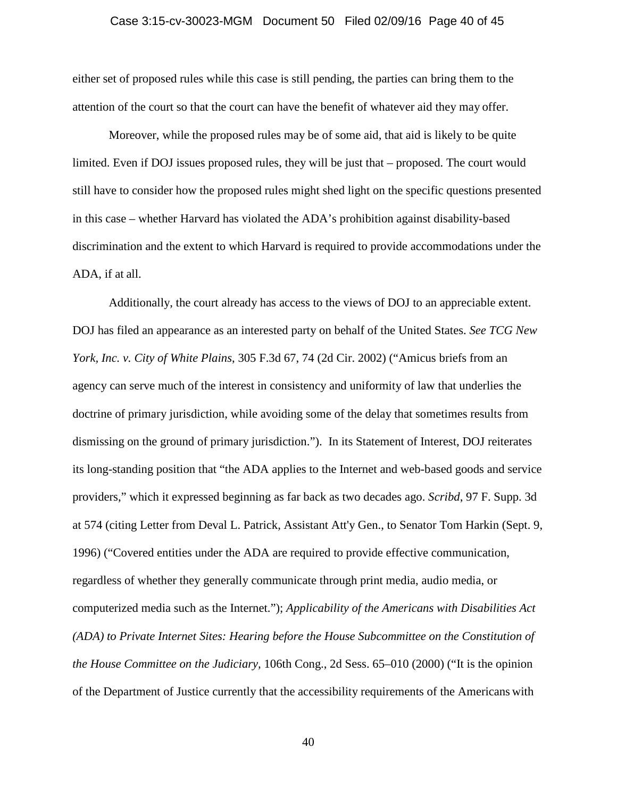## Case 3:15-cv-30023-MGM Document 50 Filed 02/09/16 Page 40 of 45

either set of proposed rules while this case is still pending, the parties can bring them to the attention of the court so that the court can have the benefit of whatever aid they may offer.

Moreover, while the proposed rules may be of some aid, that aid is likely to be quite limited. Even if DOJ issues proposed rules, they will be just that – proposed. The court would still have to consider how the proposed rules might shed light on the specific questions presented in this case – whether Harvard has violated the ADA's prohibition against disability-based discrimination and the extent to which Harvard is required to provide accommodations under the ADA, if at all.

Additionally, the court already has access to the views of DOJ to an appreciable extent. DOJ has filed an appearance as an interested party on behalf of the United States. *See TCG New York, Inc. v. City of White Plains*, 305 F.3d 67, 74 (2d Cir. 2002) ("Amicus briefs from an agency can serve much of the interest in consistency and uniformity of law that underlies the doctrine of primary jurisdiction, while avoiding some of the delay that sometimes results from dismissing on the ground of primary jurisdiction."). In its Statement of Interest, DOJ reiterates its long-standing position that "the ADA applies to the Internet and web-based goods and service providers," which it expressed beginning as far back as two decades ago. *Scribd*, 97 F. Supp. 3d at 574 (citing Letter from Deval L. Patrick, Assistant Att'y Gen., to Senator Tom Harkin (Sept. 9, 1996) ("Covered entities under the ADA are required to provide effective communication, regardless of whether they generally communicate through print media, audio media, or computerized media such as the Internet."); *Applicability of the Americans with Disabilities Act (ADA) to Private Internet Sites: Hearing before the House Subcommittee on the Constitution of the House Committee on the Judiciary,* 106th Cong., 2d Sess. 65–010 (2000) ("It is the opinion of the Department of Justice currently that the accessibility requirements of the Americans with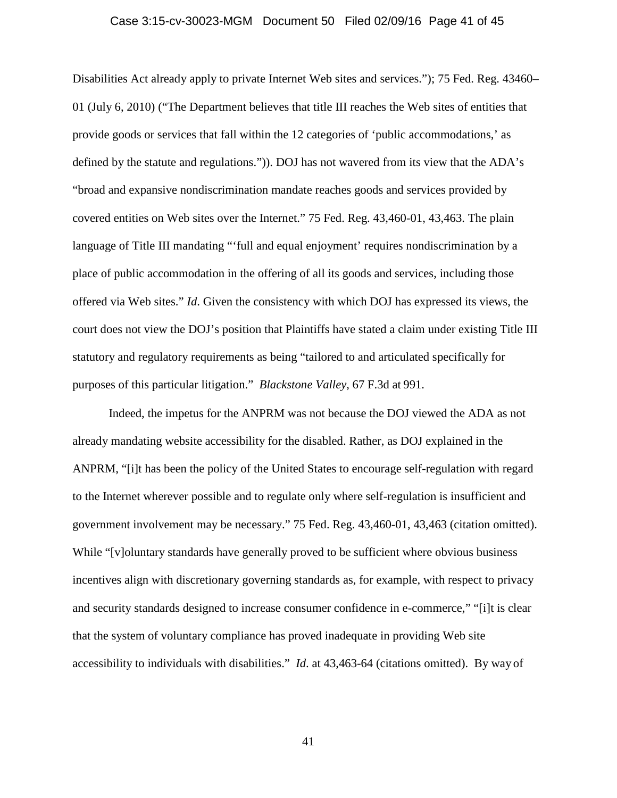## Case 3:15-cv-30023-MGM Document 50 Filed 02/09/16 Page 41 of 45

Disabilities Act already apply to private Internet Web sites and services."); 75 Fed. Reg. 43460– 01 (July 6, 2010) ("The Department believes that title III reaches the Web sites of entities that provide goods or services that fall within the 12 categories of 'public accommodations,' as defined by the statute and regulations.")). DOJ has not wavered from its view that the ADA's "broad and expansive nondiscrimination mandate reaches goods and services provided by covered entities on Web sites over the Internet." 75 Fed. Reg. 43,460-01, 43,463. The plain language of Title III mandating "'full and equal enjoyment' requires nondiscrimination by a place of public accommodation in the offering of all its goods and services, including those offered via Web sites." *Id*. Given the consistency with which DOJ has expressed its views, the court does not view the DOJ's position that Plaintiffs have stated a claim under existing Title III statutory and regulatory requirements as being "tailored to and articulated specifically for purposes of this particular litigation." *Blackstone Valley*, 67 F.3d at 991.

Indeed, the impetus for the ANPRM was not because the DOJ viewed the ADA as not already mandating website accessibility for the disabled. Rather, as DOJ explained in the ANPRM, "[i]t has been the policy of the United States to encourage self-regulation with regard to the Internet wherever possible and to regulate only where self-regulation is insufficient and government involvement may be necessary." 75 Fed. Reg. 43,460-01, 43,463 (citation omitted). While "[v]oluntary standards have generally proved to be sufficient where obvious business incentives align with discretionary governing standards as, for example, with respect to privacy and security standards designed to increase consumer confidence in e-commerce," "[i]t is clear that the system of voluntary compliance has proved inadequate in providing Web site accessibility to individuals with disabilities." *Id*. at 43,463-64 (citations omitted). By way of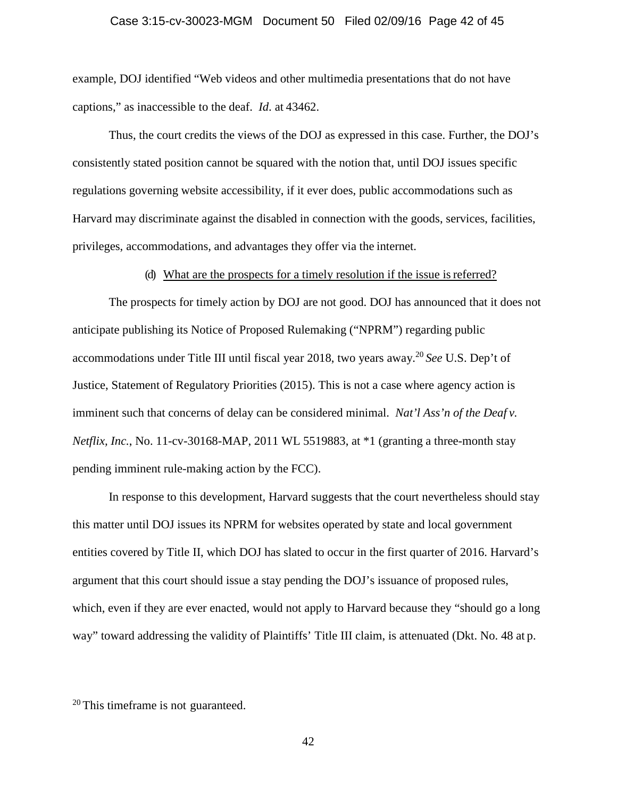## Case 3:15-cv-30023-MGM Document 50 Filed 02/09/16 Page 42 of 45

example, DOJ identified "Web videos and other multimedia presentations that do not have captions," as inaccessible to the deaf. *Id*. at 43462.

Thus, the court credits the views of the DOJ as expressed in this case. Further, the DOJ's consistently stated position cannot be squared with the notion that, until DOJ issues specific regulations governing website accessibility, if it ever does, public accommodations such as Harvard may discriminate against the disabled in connection with the goods, services, facilities, privileges, accommodations, and advantages they offer via the internet.

#### (d) What are the prospects for a timely resolution if the issue is referred?

The prospects for timely action by DOJ are not good. DOJ has announced that it does not anticipate publishing its Notice of Proposed Rulemaking ("NPRM") regarding public accommodations under Title III until fiscal year 2018, two years away.<sup>20</sup> *See* U.S. Dep't of Justice, Statement of Regulatory Priorities (2015). This is not a case where agency action is imminent such that concerns of delay can be considered minimal. *Nat'l Ass'n of the Deaf v. Netflix, Inc.*, No. 11-cv-30168-MAP, 2011 WL 5519883, at \*1 (granting a three-month stay pending imminent rule-making action by the FCC).

In response to this development, Harvard suggests that the court nevertheless should stay this matter until DOJ issues its NPRM for websites operated by state and local government entities covered by Title II, which DOJ has slated to occur in the first quarter of 2016. Harvard's argument that this court should issue a stay pending the DOJ's issuance of proposed rules, which, even if they are ever enacted, would not apply to Harvard because they "should go a long way" toward addressing the validity of Plaintiffs' Title III claim, is attenuated (Dkt. No. 48 at p.

<sup>20</sup> This timeframe is not guaranteed.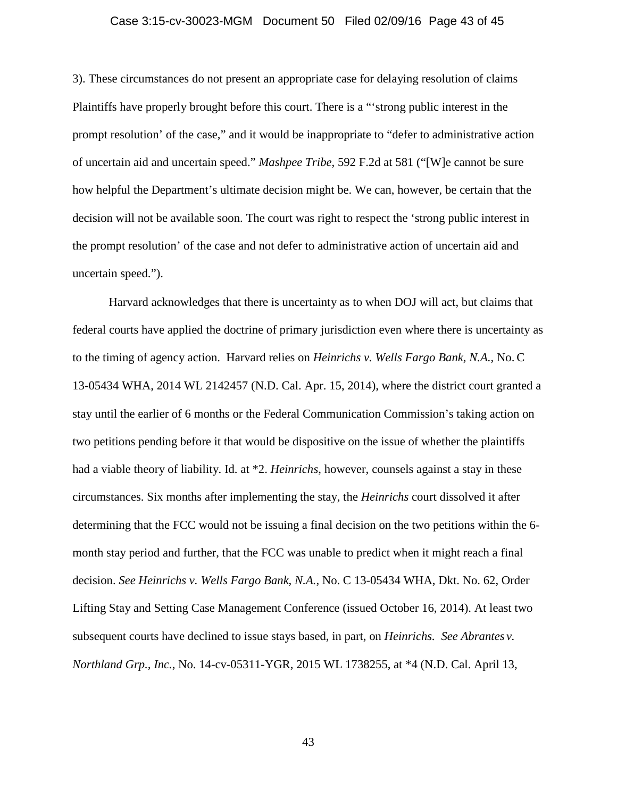## Case 3:15-cv-30023-MGM Document 50 Filed 02/09/16 Page 43 of 45

3). These circumstances do not present an appropriate case for delaying resolution of claims Plaintiffs have properly brought before this court. There is a "'strong public interest in the prompt resolution' of the case," and it would be inappropriate to "defer to administrative action of uncertain aid and uncertain speed." *Mashpee Tribe*, 592 F.2d at 581 ("[W]e cannot be sure how helpful the Department's ultimate decision might be. We can, however, be certain that the decision will not be available soon. The court was right to respect the 'strong public interest in the prompt resolution' of the case and not defer to administrative action of uncertain aid and uncertain speed.").

Harvard acknowledges that there is uncertainty as to when DOJ will act, but claims that federal courts have applied the doctrine of primary jurisdiction even where there is uncertainty as to the timing of agency action. Harvard relies on *Heinrichs v. Wells Fargo Bank, N.A.*, No. C 13-05434 WHA, 2014 WL 2142457 (N.D. Cal. Apr. 15, 2014), where the district court granted a stay until the earlier of 6 months or the Federal Communication Commission's taking action on two petitions pending before it that would be dispositive on the issue of whether the plaintiffs had a viable theory of liability. Id. at \*2. *Heinrichs*, however, counsels against a stay in these circumstances. Six months after implementing the stay, the *Heinrichs* court dissolved it after determining that the FCC would not be issuing a final decision on the two petitions within the 6 month stay period and further, that the FCC was unable to predict when it might reach a final decision. *See Heinrichs v. Wells Fargo Bank, N.A.*, No. C 13-05434 WHA, Dkt. No. 62, Order Lifting Stay and Setting Case Management Conference (issued October 16, 2014). At least two subsequent courts have declined to issue stays based, in part, on *Heinrichs. See Abrantes v. Northland Grp., Inc.*, No. 14-cv-05311-YGR, 2015 WL 1738255, at \*4 (N.D. Cal. April 13,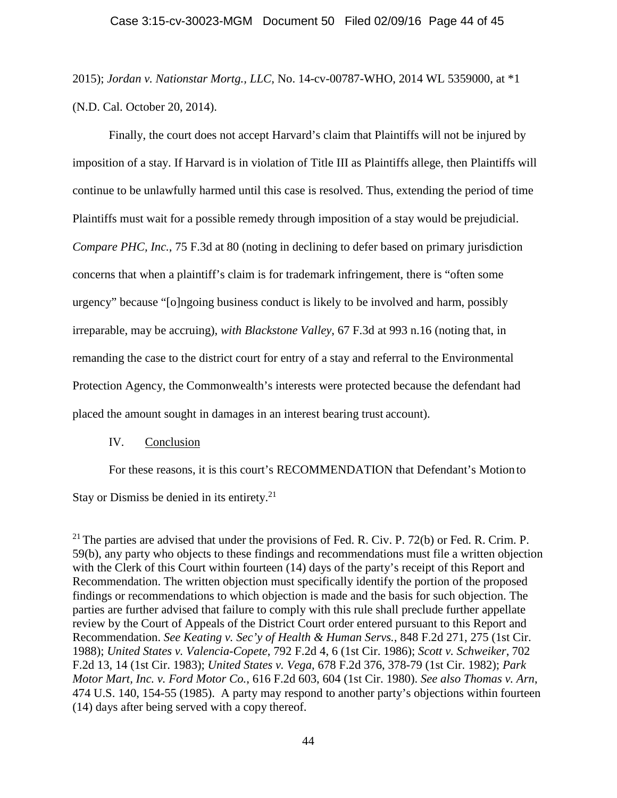2015); *Jordan v. Nationstar Mortg., LLC,* No. 14-cv-00787-WHO, 2014 WL 5359000, at \*1 (N.D. Cal. October 20, 2014).

Finally, the court does not accept Harvard's claim that Plaintiffs will not be injured by imposition of a stay. If Harvard is in violation of Title III as Plaintiffs allege, then Plaintiffs will continue to be unlawfully harmed until this case is resolved. Thus, extending the period of time Plaintiffs must wait for a possible remedy through imposition of a stay would be prejudicial. *Compare PHC, Inc.*, 75 F.3d at 80 (noting in declining to defer based on primary jurisdiction concerns that when a plaintiff's claim is for trademark infringement, there is "often some urgency" because "[o]ngoing business conduct is likely to be involved and harm, possibly irreparable, may be accruing), *with Blackstone Valley*, 67 F.3d at 993 n.16 (noting that, in remanding the case to the district court for entry of a stay and referral to the Environmental Protection Agency, the Commonwealth's interests were protected because the defendant had placed the amount sought in damages in an interest bearing trust account).

## IV. Conclusion

For these reasons, it is this court's RECOMMENDATION that Defendant's Motion to Stay or Dismiss be denied in its entirety.<sup>21</sup>

 $^{21}$  The parties are advised that under the provisions of Fed. R. Civ. P. 72(b) or Fed. R. Crim. P. 59(b), any party who objects to these findings and recommendations must file a written objection with the Clerk of this Court within fourteen (14) days of the party's receipt of this Report and Recommendation. The written objection must specifically identify the portion of the proposed findings or recommendations to which objection is made and the basis for such objection. The parties are further advised that failure to comply with this rule shall preclude further appellate review by the Court of Appeals of the District Court order entered pursuant to this Report and Recommendation. *See Keating v. Sec'y of Health & Human Servs.*, 848 F.2d 271, 275 (1st Cir. 1988); *United States v. Valencia-Copete*, 792 F.2d 4, 6 (1st Cir. 1986); *Scott v. Schweiker*, 702 F.2d 13, 14 (1st Cir. 1983); *United States v. Vega*, 678 F.2d 376, 378-79 (1st Cir. 1982); *Park Motor Mart, Inc. v. Ford Motor Co.*, 616 F.2d 603, 604 (1st Cir. 1980). *See also Thomas v. Arn*, 474 U.S. 140, 154-55 (1985). A party may respond to another party's objections within fourteen (14) days after being served with a copy thereof.